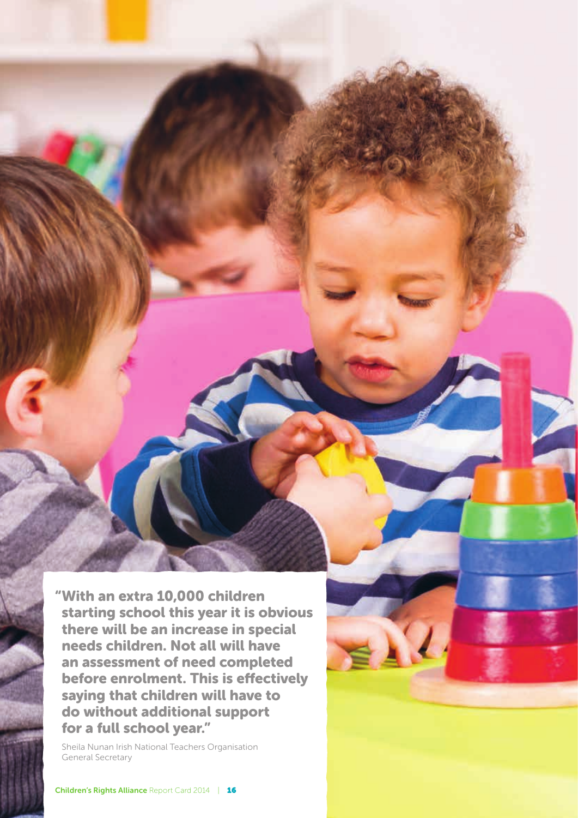"With an extra 10,000 children starting school this year it is obvious there will be an increase in special needs children. Not all will have an assessment of need completed before enrolment. This is effectively saying that children will have to do without additional support for a full school year."

Sheila Nunan Irish National Teachers Organisation General Secretary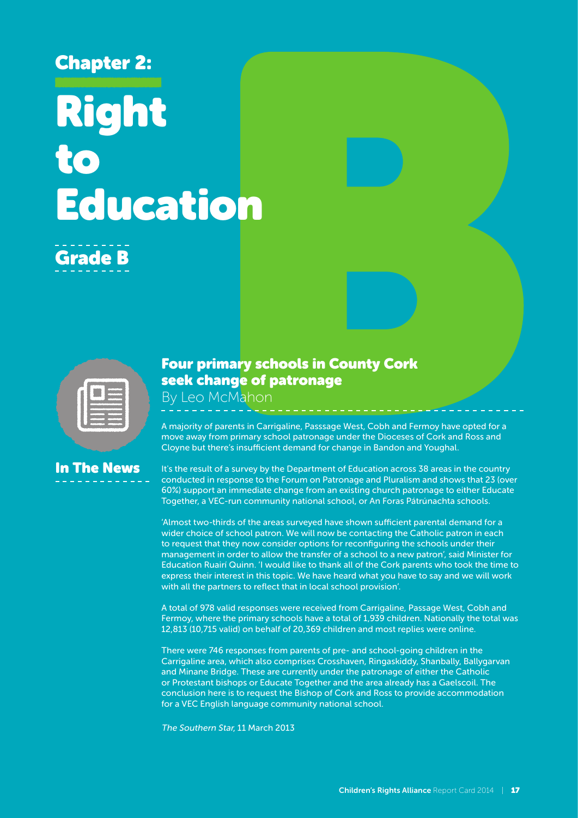# Chapter 2: Right to Education

## Grade B

| $\sim$ |  |
|--------|--|
|        |  |
| - 1    |  |

In The News

## Four primary schools in County Cork seek change of patronage

By Leo McMahon

A majority of parents in Carrigaline, Passsage West, Cobh and Fermoy have opted for a move away from primary school patronage under the Dioceses of Cork and Ross and Cloyne but there's insufficient demand for change in Bandon and Youghal.

#### It's the result of a survey by the Department of Education across 38 areas in the country conducted in response to the Forum on Patronage and Pluralism and shows that 23 (over 60%) support an immediate change from an existing church patronage to either Educate Together, a VEC-run community national school, or An Foras Pátrúnachta schools.

'Almost two-thirds of the areas surveyed have shown sufficient parental demand for a wider choice of school patron. We will now be contacting the Catholic patron in each to request that they now consider options for reconfiguring the schools under their management in order to allow the transfer of a school to a new patron', said Minister for Education Ruairí Quinn. 'I would like to thank all of the Cork parents who took the time to express their interest in this topic. We have heard what you have to say and we will work with all the partners to reflect that in local school provision'.

A total of 978 valid responses were received from Carrigaline, Passage West, Cobh and Fermoy, where the primary schools have a total of 1,939 children. Nationally the total was 12,813 (10,715 valid) on behalf of 20,369 children and most replies were online.

There were 746 responses from parents of pre- and school-going children in the Carrigaline area, which also comprises Crosshaven, Ringaskiddy, Shanbally, Ballygarvan and Minane Bridge. These are currently under the patronage of either the Catholic or Protestant bishops or Educate Together and the area already has a Gaelscoil. The conclusion here is to request the Bishop of Cork and Ross to provide accommodation for a VEC English language community national school.

The Southern Star, 11 March 2013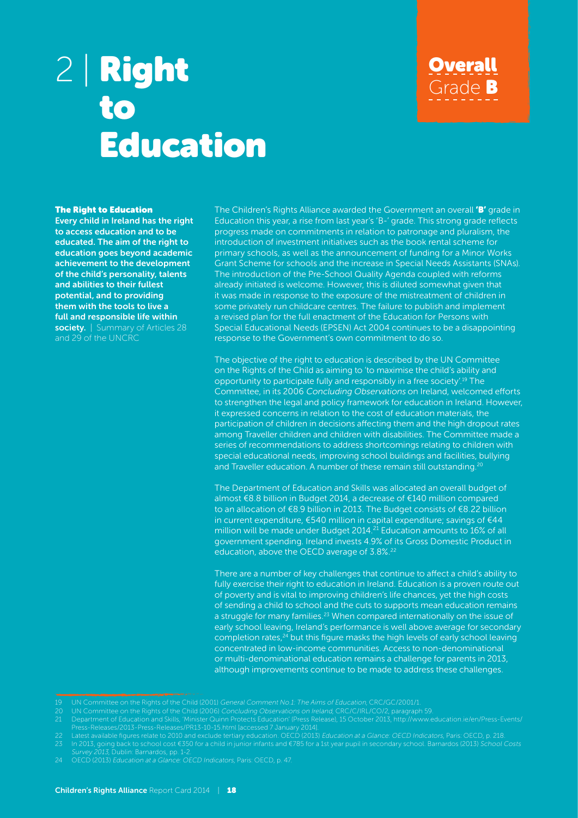## 2 | Right to Education

#### The Right to Education

Every child in Ireland has the right to access education and to be educated. The aim of the right to education goes beyond academic achievement to the development of the child's personality, talents and abilities to their fullest potential, and to providing them with the tools to live a full and responsible life within society. | Summary of Articles 28 and 29 of the UNCRC

The Children's Rights Alliance awarded the Government an overall **'B'** grade in Education this year, a rise from last year's 'B-' grade. This strong grade reflects progress made on commitments in relation to patronage and pluralism, the introduction of investment initiatives such as the book rental scheme for primary schools, as well as the announcement of funding for a Minor Works Grant Scheme for schools and the increase in Special Needs Assistants (SNAs). The introduction of the Pre-School Quality Agenda coupled with reforms already initiated is welcome. However, this is diluted somewhat given that it was made in response to the exposure of the mistreatment of children in some privately run childcare centres. The failure to publish and implement a revised plan for the full enactment of the Education for Persons with Special Educational Needs (EPSEN) Act 2004 continues to be a disappointing response to the Government's own commitment to do so.

**Overall** 

Grade B

The objective of the right to education is described by the UN Committee on the Rights of the Child as aiming to 'to maximise the child's ability and opportunity to participate fully and responsibly in a free society'.19 The Committee, in its 2006 Concluding Observations on Ireland, welcomed efforts to strengthen the legal and policy framework for education in Ireland. However, it expressed concerns in relation to the cost of education materials, the participation of children in decisions affecting them and the high dropout rates among Traveller children and children with disabilities. The Committee made a series of recommendations to address shortcomings relating to children with special educational needs, improving school buildings and facilities, bullying and Traveller education. A number of these remain still outstanding.<sup>20</sup>

The Department of Education and Skills was allocated an overall budget of almost €8.8 billion in Budget 2014, a decrease of €140 million compared to an allocation of €8.9 billion in 2013. The Budget consists of €8.22 billion in current expenditure, €540 million in capital expenditure; savings of €44 million will be made under Budget 2014.<sup>21</sup> Education amounts to 16% of all government spending. Ireland invests 4.9% of its Gross Domestic Product in education, above the OECD average of 3.8%.<sup>22</sup>

There are a number of key challenges that continue to affect a child's ability to fully exercise their right to education in Ireland. Education is a proven route out of poverty and is vital to improving children's life chances, yet the high costs of sending a child to school and the cuts to supports mean education remains a struggle for many families.<sup>23</sup> When compared internationally on the issue of early school leaving, Ireland's performance is well above average for secondary completion rates,<sup>24</sup> but this figure masks the high levels of early school leaving concentrated in low-income communities. Access to non-denominational or multi-denominational education remains a challenge for parents in 2013, although improvements continue to be made to address these challenges.

<sup>19</sup> UN Committee on the Rights of the Child (2001) General Comment No.1: The Aims of Education, CRC/GC/2001/1.

<sup>20</sup> UN Committee on the Rights of the Child (2006) Concluding Observations on Ireland, CRC/C/IRL/CO/2, paragraph 59.

Press-Releases/2013-Press-Releases/PR13-10-15.html [accessed 7 January 2014].

<sup>22</sup> Latest available figures relate to 2010 and exclude tertiary education. OECD (2013) Education at a Glance: OECD Indicators, Paris: OECD, p. 218.

Survey 2013, Dublin: Barnardos, pp. 1-2.

<sup>24</sup> OECD (2013) Education at a Glance: OECD Indicators, Paris: OECD, p. 47.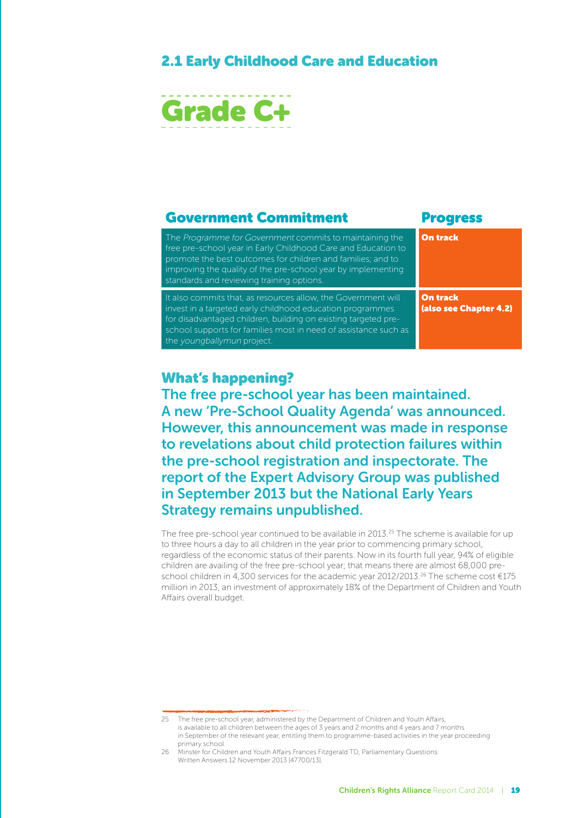## 2.1 Early Childhood Care and Education



#### Government Commitment Progress The Programme for Government commits to maintaining the free pre-school year in Early Childhood Care and Education to promote the best outcomes for children and families; and to improving the quality of the pre-school year by implementing standards and reviewing training options. On track It also commits that, as resources allow, the Government will invest in a targeted early childhood education programmes for disadvantaged children, building on existing targeted preschool supports for families most in need of assistance such as the youngballymun project. On track (also see Chapter 4.2)

#### What's happening?

The free pre-school year has been maintained. A new 'Pre-School Quality Agenda' was announced. However, this announcement was made in response to revelations about child protection failures within the pre-school registration and inspectorate. The report of the Expert Advisory Group was published in September 2013 but the National Early Years Strategy remains unpublished.

The free pre-school year continued to be available in 2013.<sup>25</sup> The scheme is available for up to three hours a day to all children in the year prior to commencing primary school, regardless of the economic status of their parents. Now in its fourth full year, 94% of eligible children are availing of the free pre-school year; that means there are almost 68,000 preschool children in 4,300 services for the academic year 2012/2013.<sup>26</sup> The scheme cost €175 million in 2013, an investment of approximately 18% of the Department of Children and Youth Affairs overall budget.

<sup>25</sup> The free pre-school year, administered by the Department of Children and Youth Affairs, is available to all children between the ages of 3 years and 2 months and 4 years and 7 months in September of the relevant year, entitling them to programme-based activities in the year proceeding primary school.

<sup>26</sup> Minster for Children and Youth Affairs Frances Fitzgerald TD, Parliamentary Questions: Written Answers 12 November 2013 [47700/13].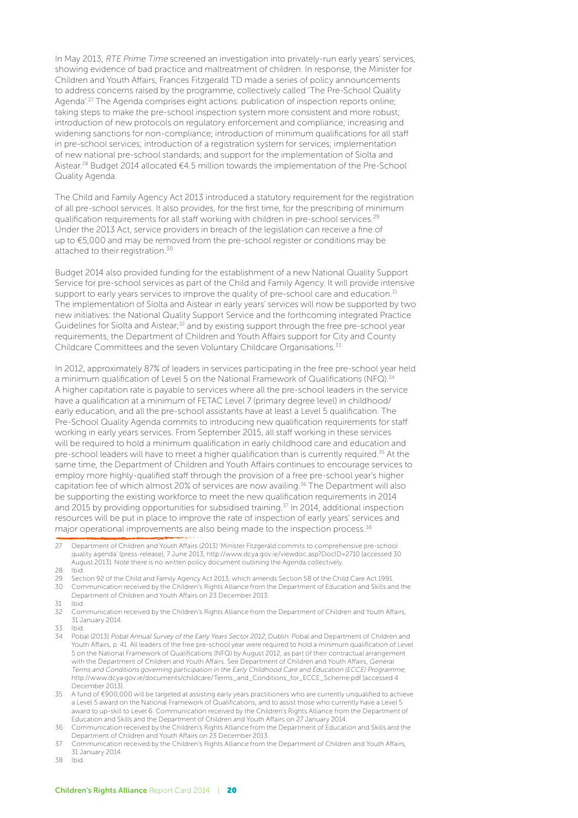In May 2013, RTE Prime Time screened an investigation into privately-run early years' services, showing evidence of bad practice and maltreatment of children. In response, the Minister for Children and Youth Affairs, Frances Fitzgerald TD made a series of policy announcements to address concerns raised by the programme, collectively called 'The Pre-School Quality Agenda'.27 The Agenda comprises eight actions: publication of inspection reports online; taking steps to make the pre-school inspection system more consistent and more robust; introduction of new protocols on regulatory enforcement and compliance; increasing and widening sanctions for non-compliance; introduction of minimum qualifications for all staff in pre-school services; introduction of a registration system for services; implementation of new national pre-school standards; and support for the implementation of Síolta and Aistear.28 Budget 2014 allocated €4.5 million towards the implementation of the Pre-School Quality Agenda.

The Child and Family Agency Act 2013 introduced a statutory requirement for the registration of all pre-school services. It also provides, for the first time, for the prescribing of minimum qualification requirements for all staff working with children in pre-school services.<sup>29</sup> Under the 2013 Act, service providers in breach of the legislation can receive a fine of up to €5,000 and may be removed from the pre-school register or conditions may be attached to their registration.30

Budget 2014 also provided funding for the establishment of a new National Quality Support Service for pre-school services as part of the Child and Family Agency. It will provide intensive support to early years services to improve the quality of pre-school care and education.<sup>31</sup> The implementation of Síolta and Aistear in early years' services will now be supported by two new initiatives: the National Quality Support Service and the forthcoming integrated Practice Guidelines for Síolta and Aistear;<sup>32</sup> and by existing support through the free pre-school year requirements, the Department of Children and Youth Affairs support for City and County Childcare Committees and the seven Voluntary Childcare Organisations.<sup>33</sup>

In 2012, approximately 87% of leaders in services participating in the free pre-school year held a minimum qualification of Level 5 on the National Framework of Qualifications (NFQ).<sup>34</sup> A higher capitation rate is payable to services where all the pre-school leaders in the service have a qualification at a minimum of FETAC Level 7 (primary degree level) in childhood/ early education, and all the pre-school assistants have at least a Level 5 qualification. The Pre-School Quality Agenda commits to introducing new qualification requirements for staff working in early years services. From September 2015, all staff working in these services will be required to hold a minimum qualification in early childhood care and education and pre-school leaders will have to meet a higher qualification than is currently required.<sup>35</sup> At the same time, the Department of Children and Youth Affairs continues to encourage services to employ more highly-qualified staff through the provision of a free pre-school year's higher capitation fee of which almost 20% of services are now availing.36 The Department will also be supporting the existing workforce to meet the new qualification requirements in 2014 and 2015 by providing opportunities for subsidised training.<sup>37</sup> In 2014, additional inspection resources will be put in place to improve the rate of inspection of early years' services and major operational improvements are also being made to the inspection process.38

29 Section 92 of the Child and Family Agency Act 2013, which amends Section 58 of the Child Care Act 1991. 30 Communication received by the Children's Rights Alliance from the Department of Education and Skills and the Department of Children and Youth Affairs on 23 December 2013.

31 Ibid.

32 Communication received by the Children's Rights Alliance from the Department of Children and Youth Affairs, 31 January 2014.

- 33 Ibid.
- 34 Pobal (2013) Pobal Annual Survey of the Early Years Sector 2012, Dublin: Pobal and Department of Children and Youth Affairs, p. 41. All leaders of the free pre-school year were required to hold a minimum qualification of Level 5 on the National Framework of Qualifications (NFQ) by August 2012, as part of their contractual arrangement with the Department of Children and Youth Affairs. See Department of Children and Youth Affairs, General Terms and Conditions governing participation in the Early Childhood Care and Education (ECCE) Programme, http://www.dcya.gov.ie/documents/childcare/Terms\_and\_Conditions\_for\_ECCE\_Scheme.pdf [accessed 4 December 2013].
- 35 A fund of €900,000 will be targeted at assisting early years practitioners who are currently unqualified to achieve a Level 5 award on the National Framework of Qualifications, and to assist those who currently have a Level 5 award to up-skill to Level 6. Communication received by the Children's Rights Alliance from the Department of Education and Skills and the Department of Children and Youth Affairs on 27 January 2014.
- 36 Communication received by the Children's Rights Alliance from the Department of Education and Skills and the Department of Children and Youth Affairs on 23 December 2013.
- 37 Communication received by the Children's Rights Alliance from the Department of Children and Youth Affairs, 31 January 2014.
- 38 Ibid.

<sup>27</sup> Department of Children and Youth Affairs (2013) 'Minister Fitzgerald commits to comprehensive pre-school quality agenda' (press-release), 7 June 2013, http://www.dcya.gov.ie/viewdoc.asp?DocID=2710 [accessed 30 August 2013]. Note there is no written policy document outlining the Agenda collectively.

<sup>28</sup> Ibid.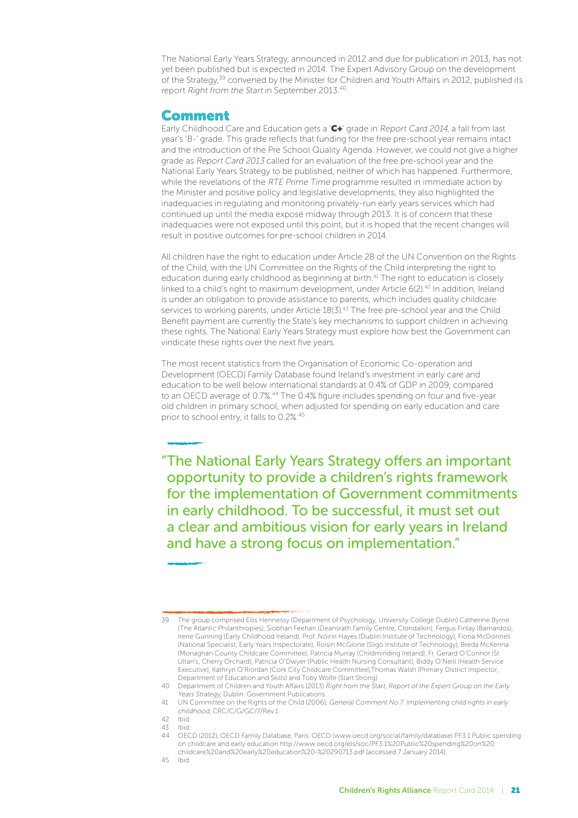The National Early Years Strategy, announced in 2012 and due for publication in 2013, has not yet been published but is expected in 2014. The Expert Advisory Group on the development of the Strategy,<sup>39</sup> convened by the Minister for Children and Youth Affairs in 2012, published its report Right from the Start in September 2013.40

#### Comment

Early Childhood Care and Education gets a 'C+' grade in Report Card 2014, a fall from last year's 'B-' grade. This grade reflects that funding for the free pre-school year remains intact and the introduction of the Pre School Quality Agenda. However, we could not give a higher grade as Report Card 2013 called for an evaluation of the free pre-school year and the National Early Years Strategy to be published, neither of which has happened. Furthermore, while the revelations of the RTE Prime Time programme resulted in immediate action by the Minister and positive policy and legislative developments, they also highlighted the inadequacies in regulating and monitoring privately-run early years services which had continued up until the media exposé midway through 2013. It is of concern that these inadequacies were not exposed until this point, but it is hoped that the recent changes will result in positive outcomes for pre-school children in 2014.

All children have the right to education under Article 28 of the UN Convention on the Rights of the Child, with the UN Committee on the Rights of the Child interpreting the right to education during early childhood as beginning at birth.<sup>41</sup> The right to education is closely linked to a child's right to maximum development, under Article 6(2).42 In addition, Ireland is under an obligation to provide assistance to parents, which includes quality childcare services to working parents, under Article 18(3).<sup>43</sup> The free pre-school year and the Child Benefit payment are currently the State's key mechanisms to support children in achieving these rights. The National Early Years Strategy must explore how best the Government can vindicate these rights over the next five years.

The most recent statistics from the Organisation of Economic Co-operation and Development (OECD) Family Database found Ireland's investment in early care and education to be well below international standards at 0.4% of GDP in 2009, compared to an OECD average of 0.7%.<sup>44</sup> The 0.4% figure includes spending on four and five-year old children in primary school, when adjusted for spending on early education and care prior to school entry, it falls to 0.2%.<sup>45</sup>

"The National Early Years Strategy offers an important opportunity to provide a children's rights framework for the implementation of Government commitments in early childhood. To be successful, it must set out a clear and ambitious vision for early years in Ireland and have a strong focus on implementation."

<sup>39</sup> The group comprised Eilis Hennessy (Department of Psychology, University College Dublin) Catherine Byrne (The Atlantic Philanthropies), Siobhan Feehan (Deansrath Family Centre, Clondalkin), Fergus Finlay (Barnardos), Irene Gunning (Early Childhood Ireland), Prof. Nóirín Hayes (Dublin Institute of Technology), Fiona McDonnell (National Specialist, Early Years Inspectorate), Roisin McGlone (Sligo Institute of Technology), Breda McKenna (Monaghan County Childcare Committee), Patricia Murray (Childminding Ireland), Fr. Gerard O'Connor (St. Ultan's, Cherry Orchard), Patricia O'Dwyer (Public Health Nursing Consultant), Biddy O'Neill (Health Service Executive), Kathryn O'Riordan (Cork City Childcare Committee),Thomas Walsh (Primary District Inspector, Department of Education and Skills) and Toby Wolfe (Start Strong).

<sup>40</sup> Department of Children and Youth Affairs (2013) Right from the Start, Report of the Expert Group on the Early Years Strategy, Dublin: Government Publications.

<sup>41</sup> UN Committee on the Rights of the Child (2006), General Comment No.7: Implementing child rights in early childhood, CRC/C/G/GC/7/Rev.1.

<sup>42</sup> Ibid. 43 Ibid.

<sup>44</sup> OECD (2012), OECD Family Database, Paris: OECD (www.oecd.org/social/family/database) PF3.1 Public spending on childcare and early education http://www.oecd.org/els/soc/PF3.1%20Public%20spending%20on%20 childcare%20and%20early%20education%20-%20290713.pdf [accessed 7 January 2014].

<sup>45</sup> Ibid.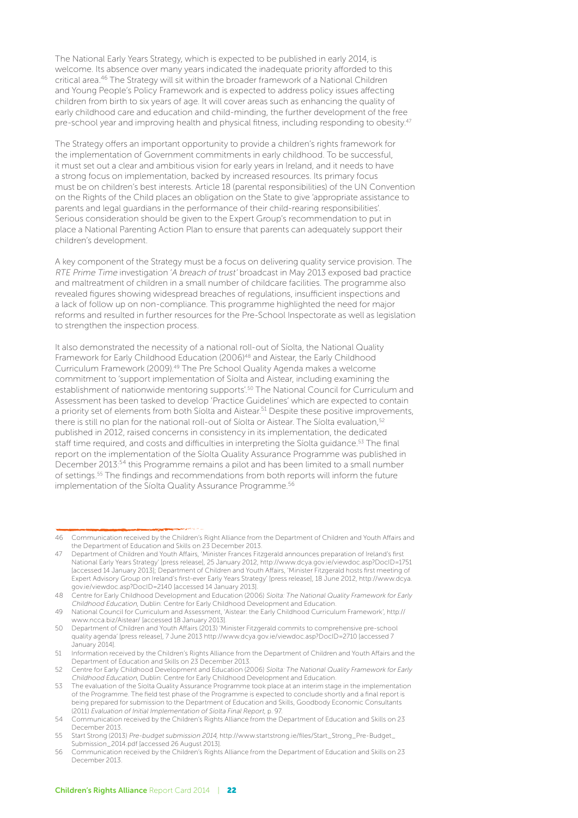The National Early Years Strategy, which is expected to be published in early 2014, is welcome. Its absence over many years indicated the inadequate priority afforded to this critical area.46 The Strategy will sit within the broader framework of a National Children and Young People's Policy Framework and is expected to address policy issues affecting children from birth to six years of age. It will cover areas such as enhancing the quality of early childhood care and education and child-minding, the further development of the free pre-school year and improving health and physical fitness, including responding to obesity.<sup>47</sup>

The Strategy offers an important opportunity to provide a children's rights framework for the implementation of Government commitments in early childhood. To be successful, it must set out a clear and ambitious vision for early years in Ireland, and it needs to have a strong focus on implementation, backed by increased resources. Its primary focus must be on children's best interests. Article 18 (parental responsibilities) of the UN Convention on the Rights of the Child places an obligation on the State to give 'appropriate assistance to parents and legal guardians in the performance of their child-rearing responsibilities'. Serious consideration should be given to the Expert Group's recommendation to put in place a National Parenting Action Plan to ensure that parents can adequately support their children's development.

A key component of the Strategy must be a focus on delivering quality service provision. The RTE Prime Time investigation 'A breach of trust' broadcast in May 2013 exposed bad practice and maltreatment of children in a small number of childcare facilities. The programme also revealed figures showing widespread breaches of regulations, insufficient inspections and a lack of follow up on non-compliance. This programme highlighted the need for major reforms and resulted in further resources for the Pre-School Inspectorate as well as legislation to strengthen the inspection process.

It also demonstrated the necessity of a national roll-out of Síolta, the National Quality Framework for Early Childhood Education (2006)48 and Aistear, the Early Childhood Curriculum Framework (2009).49 The Pre School Quality Agenda makes a welcome commitment to 'support implementation of Síolta and Aistear, including examining the establishment of nationwide mentoring supports'.50 The National Council for Curriculum and Assessment has been tasked to develop 'Practice Guidelines' which are expected to contain a priority set of elements from both Síolta and Aistear.<sup>51</sup> Despite these positive improvements, there is still no plan for the national roll-out of Síolta or Aistear. The Síolta evaluation,<sup>52</sup> published in 2012, raised concerns in consistency in its implementation, the dedicated staff time required, and costs and difficulties in interpreting the Síolta guidance.<sup>53</sup> The final report on the implementation of the Síolta Quality Assurance Programme was published in December 2013:54 this Programme remains a pilot and has been limited to a small number of settings.55 The findings and recommendations from both reports will inform the future implementation of the Síolta Quality Assurance Programme.<sup>56</sup>

<sup>46</sup> Communication received by the Children's Right Alliance from the Department of Children and Youth Affairs and the Department of Education and Skills on 23 December 2013.

<sup>47</sup> Department of Children and Youth Affairs, 'Minister Frances Fitzgerald announces preparation of Ireland's first National Early Years Strategy' [press release], 25 January 2012, http://www.dcya.gov.ie/viewdoc.asp?DocID=1751 [accessed 14 January 2013]; Department of Children and Youth Affairs, 'Minister Fitzgerald hosts first meeting of Expert Advisory Group on Ireland's first-ever Early Years Strategy' [press release], 18 June 2012, http://www.dcya. gov.ie/viewdoc.asp?DocID=2140 [accessed 14 January 2013].

<sup>48</sup> Centre for Early Childhood Development and Education (2006) Síolta: The National Quality Framework for Early Childhood Education, Dublin: Centre for Early Childhood Development and Education.

<sup>49</sup> National Council for Curriculum and Assessment, 'Aistear: the Early Childhood Curriculum Framework', http:// www.ncca.biz/Aistear/ [accessed 18 January 2013].

<sup>50</sup> Department of Children and Youth Affairs (2013) 'Minister Fitzgerald commits to comprehensive pre-school quality agenda' [press release], 7 June 2013 http://www.dcya.gov.ie/viewdoc.asp?DocID=2710 [accessed 7 January 2014].

<sup>51</sup> Information received by the Children's Rights Alliance from the Department of Children and Youth Affairs and the Department of Education and Skills on 23 December 2013.

<sup>52</sup> Centre for Early Childhood Development and Education (2006) Síolta: The National Quality Framework for Early Childhood Education, Dublin: Centre for Early Childhood Development and Education.

<sup>53</sup> The evaluation of the Síolta Quality Assurance Programme took place at an interim stage in the implementation of the Programme. The field test phase of the Programme is expected to conclude shortly and a final report is being prepared for submission to the Department of Education and Skills, Goodbody Economic Consultants (2011) Evaluation of Initial Implementation of Síolta Final Report, p. 97.

<sup>54</sup> Communication received by the Children's Rights Alliance from the Department of Education and Skills on 23 December 2013.

<sup>55</sup> Start Strong (2013) Pre-budget submission 2014, http://www.startstrong.ie/files/Start\_Strong\_Pre-Budget\_ Submission\_2014.pdf [accessed 26 August 2013].

<sup>56</sup> Communication received by the Children's Rights Alliance from the Department of Education and Skills on 23 December 2013.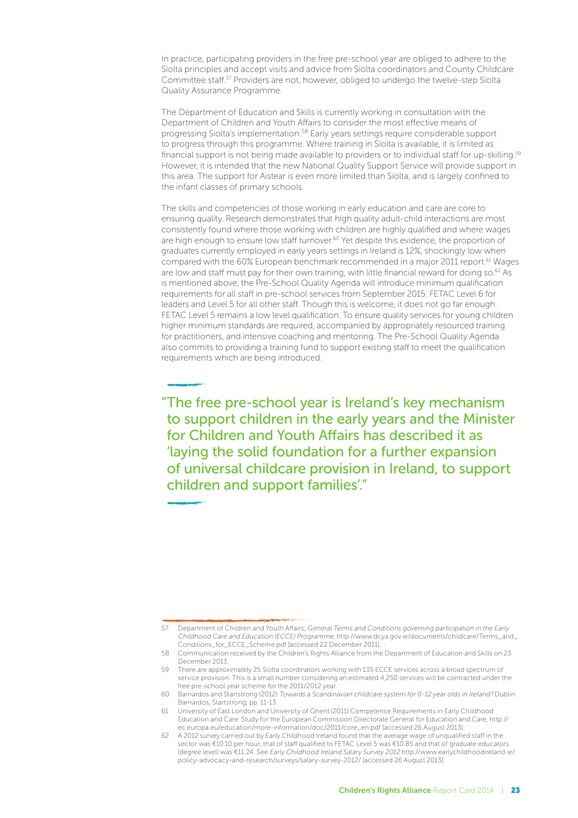In practice, participating providers in the free pre-school year are obliged to adhere to the Síolta principles and accept visits and advice from Síolta coordinators and County Childcare Committee staff.57 Providers are not, however, obliged to undergo the twelve-step Síolta Quality Assurance Programme.

The Department of Education and Skills is currently working in consultation with the Department of Children and Youth Affairs to consider the most effective means of progressing Síolta's implementation.58 Early years settings require considerable support to progress through this programme. Where training in Síolta is available, it is limited as financial support is not being made available to providers or to individual staff for up-skilling.<sup>59</sup> However, it is intended that the new National Quality Support Service will provide support in this area. The support for Aistear is even more limited than Síolta, and is largely confined to the infant classes of primary schools.

The skills and competencies of those working in early education and care are core to ensuring quality. Research demonstrates that high quality adult-child interactions are most consistently found where those working with children are highly qualified and where wages are high enough to ensure low staff turnover.<sup>60</sup> Yet despite this evidence, the proportion of graduates currently employed in early years settings in Ireland is 12%, shockingly low when compared with the 60% European benchmark recommended in a major 2011 report.<sup>61</sup> Wages are low and staff must pay for their own training, with little financial reward for doing so.<sup>62</sup> As is mentioned above, the Pre-School Quality Agenda will introduce minimum qualification requirements for all staff in pre-school services from September 2015: FETAC Level 6 for leaders and Level 5 for all other staff. Though this is welcome, it does not go far enough. FETAC Level 5 remains a low level qualification. To ensure quality services for young children higher minimum standards are required, accompanied by appropriately resourced training for practitioners, and intensive coaching and mentoring. The Pre-School Quality Agenda also commits to providing a training fund to support existing staff to meet the qualification requirements which are being introduced.

"The free pre-school year is Ireland's key mechanism to support children in the early years and the Minister for Children and Youth Affairs has described it as 'laying the solid foundation for a further expansion of universal childcare provision in Ireland, to support children and support families'."

<sup>57</sup> Department of Children and Youth Affairs, General Terms and Conditions governing participation in the Early Childhood Care and Education (ECCE) Programme, http://www.dcya.gov.ie/documents/childcare/Terms\_and\_ Conditions\_for\_ECCE\_Scheme.pdf [accessed 22 December 2011].

<sup>58</sup> Communication received by the Children's Rights Alliance from the Department of Education and Skills on 23 December 2013.

<sup>59</sup> There are approximately 25 Síolta coordinators working with 135 ECCE services across a broad spectrum of service provision. This is a small number considering an estimated 4,250 services will be contracted under the free pre-school year scheme for the 2011/2012 year.

<sup>60</sup> Barnardos and Startstrong (2012) Towards a Scandinavian childcare system for 0-12 year olds in Ireland? Dublin: Barnardos, Startstrong, pp. 11-13.

<sup>61</sup> University of East London and University of Ghent (2011) Competence Requirements in Early Childhood Education and Care: Study for the European Commission Directorate General for Education and Care, http:// ec.europa.eu/education/more-information/doc/2011/core\_en.pdf [accessed 26 August 2013].

<sup>62</sup> A 2012 survey carried out by Early Childhood Ireland found that the average wage of unqualified staff in the sector was €10.10 per hour, that of staff qualified to FETAC Level 5 was €10.85 and that of graduate educators (degree level) was €11.24. See Early Childhood Ireland Salary Survey 2012 http://www.earlychildhoodireland.ie/ policy-advocacy-and-research/surveys/salary-survey-2012/ [accessed 26 August 2013].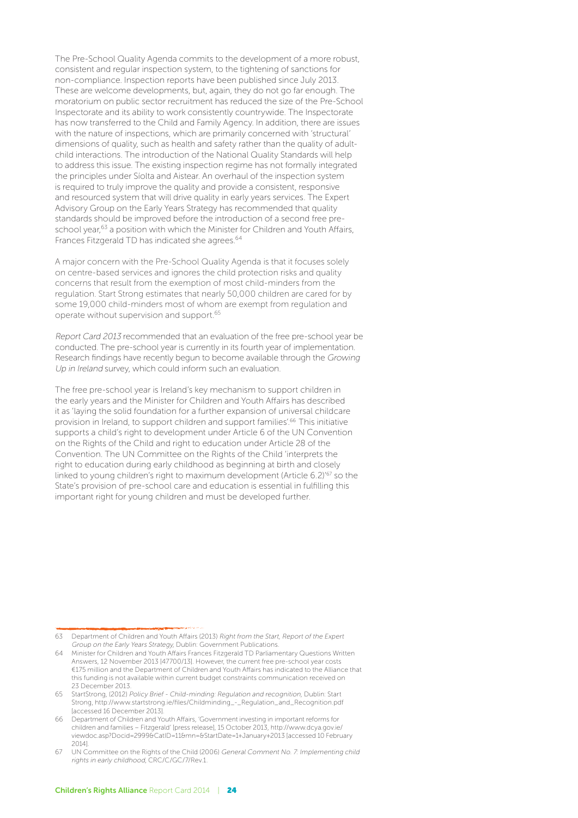The Pre-School Quality Agenda commits to the development of a more robust, consistent and regular inspection system, to the tightening of sanctions for non-compliance. Inspection reports have been published since July 2013. These are welcome developments, but, again, they do not go far enough. The moratorium on public sector recruitment has reduced the size of the Pre-School Inspectorate and its ability to work consistently countrywide. The Inspectorate has now transferred to the Child and Family Agency. In addition, there are issues with the nature of inspections, which are primarily concerned with 'structural' dimensions of quality, such as health and safety rather than the quality of adultchild interactions. The introduction of the National Quality Standards will help to address this issue. The existing inspection regime has not formally integrated the principles under Síolta and Aistear. An overhaul of the inspection system is required to truly improve the quality and provide a consistent, responsive and resourced system that will drive quality in early years services. The Expert Advisory Group on the Early Years Strategy has recommended that quality standards should be improved before the introduction of a second free preschool year,<sup>63</sup> a position with which the Minister for Children and Youth Affairs, Frances Fitzgerald TD has indicated she agrees.<sup>64</sup>

A major concern with the Pre-School Quality Agenda is that it focuses solely on centre-based services and ignores the child protection risks and quality concerns that result from the exemption of most child-minders from the regulation. Start Strong estimates that nearly 50,000 children are cared for by some 19,000 child-minders most of whom are exempt from regulation and operate without supervision and support.65

Report Card 2013 recommended that an evaluation of the free pre-school year be conducted. The pre-school year is currently in its fourth year of implementation. Research findings have recently begun to become available through the Growing Up in Ireland survey, which could inform such an evaluation.

The free pre-school year is Ireland's key mechanism to support children in the early years and the Minister for Children and Youth Affairs has described it as 'laying the solid foundation for a further expansion of universal childcare provision in Ireland, to support children and support families'.66 This initiative supports a child's right to development under Article 6 of the UN Convention on the Rights of the Child and right to education under Article 28 of the Convention. The UN Committee on the Rights of the Child 'interprets the right to education during early childhood as beginning at birth and closely linked to young children's right to maximum development (Article 6.2)<sup>'67</sup> so the State's provision of pre-school care and education is essential in fulfilling this important right for young children and must be developed further.

<sup>63</sup> Department of Children and Youth Affairs (2013) Right from the Start, Report of the Expert Group on the Early Years Strategy, Dublin: Government Publications.

<sup>64</sup> Minister for Children and Youth Affairs Frances Fitzgerald TD Parliamentary Questions Written Answers, 12 November 2013 [47700/13]. However, the current free pre-school year costs €175 million and the Department of Children and Youth Affairs has indicated to the Alliance that this funding is not available within current budget constraints communication received on 23 December 2013.

<sup>65</sup> StartStrong, (2012) Policy Brief - Child-minding: Regulation and recognition, Dublin: Start Strong, http://www.startstrong.ie/files/Childminding\_-\_Regulation\_and\_Recognition.pdf [accessed 16 December 2013].

<sup>66</sup> Department of Children and Youth Affairs, 'Government investing in important reforms for children and families – Fitzgerald' [press release], 15 October 2013, http://www.dcya.gov.ie/ viewdoc.asp?Docid=2999&CatID=11&mn=&StartDate=1+January+2013 [accessed 10 February 2014].

<sup>67</sup> UN Committee on the Rights of the Child (2006) General Comment No. 7: Implementing child rights in early childhood, CRC/C/GC/7/Rev.1.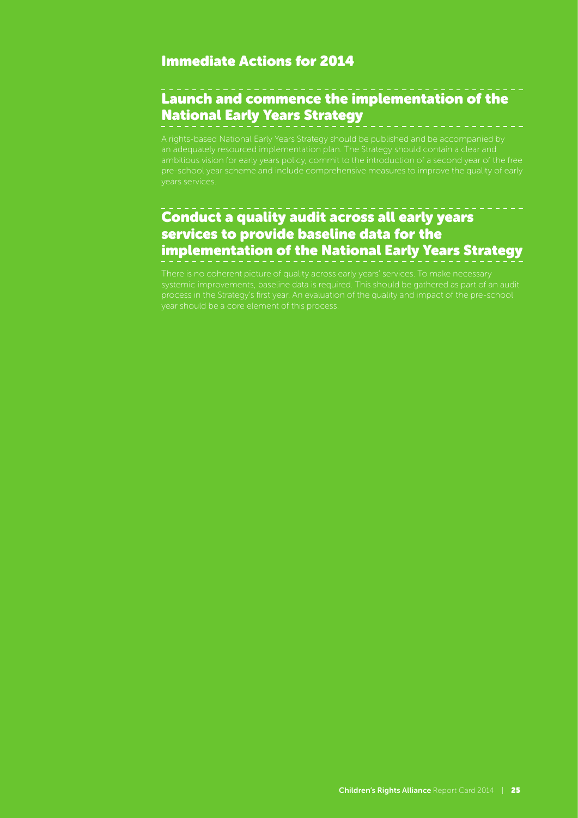#### Immediate Actions for 2014

## Launch and commence the implementation of the National Early Years Strategy

A rights-based National Early Years Strategy should be published and be accompanied by

## Conduct a quality audit across all early years services to provide baseline data for the implementation of the National Early Years Strategy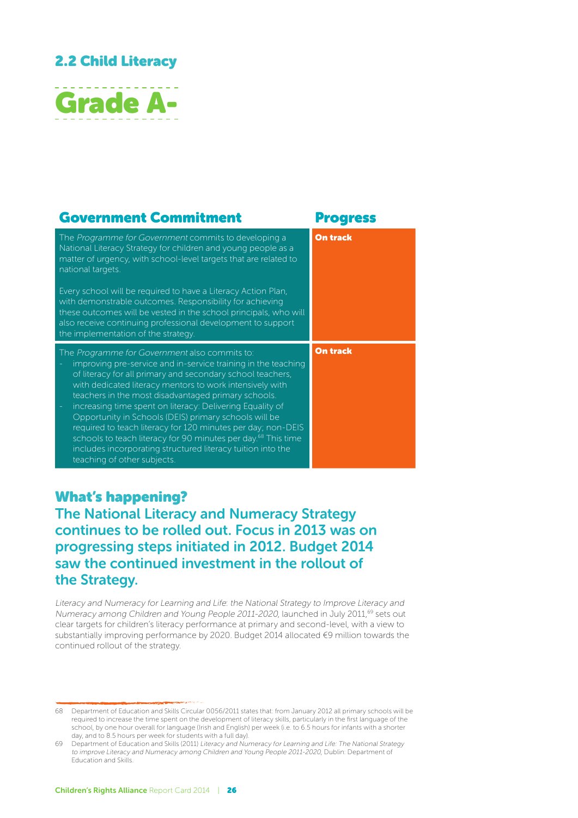## 2.2 Child Literacy



| <b>Government Commitment</b>                                                                                                                                                                                                                                                                                                                                                                                                                                                                                                                                                                                                                                                 | <b>Progress</b> |
|------------------------------------------------------------------------------------------------------------------------------------------------------------------------------------------------------------------------------------------------------------------------------------------------------------------------------------------------------------------------------------------------------------------------------------------------------------------------------------------------------------------------------------------------------------------------------------------------------------------------------------------------------------------------------|-----------------|
| The Programme for Government commits to developing a<br>National Literacy Strategy for children and young people as a<br>matter of urgency, with school-level targets that are related to<br>national targets.                                                                                                                                                                                                                                                                                                                                                                                                                                                               | <b>On track</b> |
| Every school will be required to have a Literacy Action Plan,<br>with demonstrable outcomes. Responsibility for achieving<br>these outcomes will be vested in the school principals, who will<br>also receive continuing professional development to support<br>the implementation of the strategy.                                                                                                                                                                                                                                                                                                                                                                          |                 |
| The Programme for Government also commits to:<br>improving pre-service and in-service training in the teaching<br>of literacy for all primary and secondary school teachers,<br>with dedicated literacy mentors to work intensively with<br>teachers in the most disadvantaged primary schools.<br>increasing time spent on literacy: Delivering Equality of<br>$\equiv$<br>Opportunity in Schools (DEIS) primary schools will be<br>required to teach literacy for 120 minutes per day; non-DEIS<br>schools to teach literacy for 90 minutes per day. <sup>68</sup> This time<br>includes incorporating structured literacy tuition into the<br>teaching of other subjects. | <b>On track</b> |

### What's happening?

The National Literacy and Numeracy Strategy continues to be rolled out. Focus in 2013 was on progressing steps initiated in 2012. Budget 2014 saw the continued investment in the rollout of the Strategy.

Literacy and Numeracy for Learning and Life: the National Strategy to Improve Literacy and Numeracy among Children and Young People 2011-2020, launched in July 2011,69 sets out clear targets for children's literacy performance at primary and second-level, with a view to substantially improving performance by 2020. Budget 2014 allocated €9 million towards the continued rollout of the strategy.

<sup>68</sup> Department of Education and Skills Circular 0056/2011 states that: from January 2012 all primary schools will be required to increase the time spent on the development of literacy skills, particularly in the first language of the school, by one hour overall for language (Irish and English) per week (i.e. to 6.5 hours for infants with a shorter day, and to 8.5 hours per week for students with a full day).

<sup>69</sup> Department of Education and Skills (2011) Literacy and Numeracy for Learning and Life: The National Strategy to improve Literacy and Numeracy among Children and Young People 2011-2020, Dublin: Department of Education and Skills.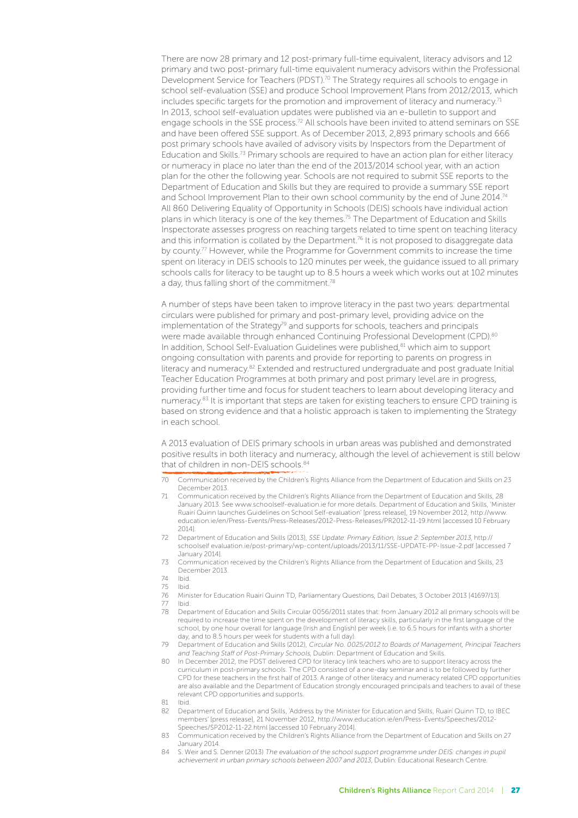There are now 28 primary and 12 post-primary full-time equivalent, literacy advisors and 12 primary and two post-primary full-time equivalent numeracy advisors within the Professional Development Service for Teachers (PDST).<sup>70</sup> The Strategy requires all schools to engage in school self-evaluation (SSE) and produce School Improvement Plans from 2012/2013, which includes specific targets for the promotion and improvement of literacy and numeracy.<sup>71</sup> In 2013, school self-evaluation updates were published via an e-bulletin to support and engage schools in the SSE process.<sup>72</sup> All schools have been invited to attend seminars on SSE and have been offered SSE support. As of December 2013, 2,893 primary schools and 666 post primary schools have availed of advisory visits by Inspectors from the Department of Education and Skills.73 Primary schools are required to have an action plan for either literacy or numeracy in place no later than the end of the 2013/2014 school year, with an action plan for the other the following year. Schools are not required to submit SSE reports to the Department of Education and Skills but they are required to provide a summary SSE report and School Improvement Plan to their own school community by the end of June 2014.<sup>74</sup> All 860 Delivering Equality of Opportunity in Schools (DEIS) schools have individual action plans in which literacy is one of the key themes.75 The Department of Education and Skills Inspectorate assesses progress on reaching targets related to time spent on teaching literacy and this information is collated by the Department.<sup>76</sup> It is not proposed to disaggregate data by county.<sup>77</sup> However, while the Programme for Government commits to increase the time spent on literacy in DEIS schools to 120 minutes per week, the guidance issued to all primary schools calls for literacy to be taught up to 8.5 hours a week which works out at 102 minutes a day, thus falling short of the commitment.<sup>78</sup>

A number of steps have been taken to improve literacy in the past two years: departmental circulars were published for primary and post-primary level, providing advice on the implementation of the Strategy<sup>79</sup> and supports for schools, teachers and principals were made available through enhanced Continuing Professional Development (CPD).80 In addition, School Self-Evaluation Guidelines were published,<sup>81</sup> which aim to support ongoing consultation with parents and provide for reporting to parents on progress in literacy and numeracy.82 Extended and restructured undergraduate and post graduate Initial Teacher Education Programmes at both primary and post primary level are in progress, providing further time and focus for student teachers to learn about developing literacy and numeracy.<sup>83</sup> It is important that steps are taken for existing teachers to ensure CPD training is based on strong evidence and that a holistic approach is taken to implementing the Strategy in each school.

A 2013 evaluation of DEIS primary schools in urban areas was published and demonstrated positive results in both literacy and numeracy, although the level of achievement is still below that of children in non-DEIS schools.84

- 70 Communication received by the Children's Rights Alliance from the Department of Education and Skills on 23 December 2013.
- 71 Communication received by the Children's Rights Alliance from the Department of Education and Skills, 28 January 2013. See www.schoolself-evaluation.ie for more details. Department of Education and Skills, 'Minister Ruairí Quinn launches Guidelines on School Self-evaluation' [press release], 19 November 2012, http://www. education.ie/en/Press-Events/Press-Releases/2012-Press-Releases/PR2012-11-19.html [accessed 10 February 2014].
- 72 Department of Education and Skills (2013), SSE Update: Primary Edition, Issue 2: September 2013, http:// schoolself evaluation.ie/post-primary/wp-content/uploads/2013/11/SSE-UPDATE-PP-Issue-2.pdf [accessed 7 January 2014].
- 73 Communication received by the Children's Rights Alliance from the Department of Education and Skills, 23 December 2013.
- 74 Ibid.
- 75 Ibid.
- 76 Minister for Education Ruairí Quinn TD, Parliamentary Questions, Dail Debates, 3 October 2013 [41697/13].
- 77 Ibid.<br>78 Den
- 78 Department of Education and Skills Circular 0056/2011 states that: from January 2012 all primary schools will be required to increase the time spent on the development of literacy skills, particularly in the first language of the school, by one hour overall for language (Irish and English) per week (i.e. to 6.5 hours for infants with a shorter day, and to 8.5 hours per week for students with a full day).
- 79 Department of Education and Skills (2012), Circular No. 0025/2012 to Boards of Management, Principal Teachers and Teaching Staff of Post-Primary Schools, Dublin: Department of Education and Skills.
- 80 In December 2012, the PDST delivered CPD for literacy link teachers who are to support literacy across the curriculum in post-primary schools. The CPD consisted of a one-day seminar and is to be followed by further CPD for these teachers in the first half of 2013. A range of other literacy and numeracy related CPD opportunities are also available and the Department of Education strongly encouraged principals and teachers to avail of these relevant CPD opportunities and supports.
- 81 Ibid.
- 82 Department of Education and Skills, 'Address by the Minister for Education and Skills, Ruairí Quinn TD, to IBEC members' [press release], 21 November 2012, http://www.education.ie/en/Press-Events/Speeches/2012- Speeches/SP2012-11-22.html [accessed 10 February 2014].
- 83 Communication received by the Children's Rights Alliance from the Department of Education and Skills on 27 January 2014.
- 84 S. Weir and S. Denner (2013) The evaluation of the school support programme under DEIS: changes in pupil achievement in urban primary schools between 2007 and 2013, Dublin: Educational Research Centre.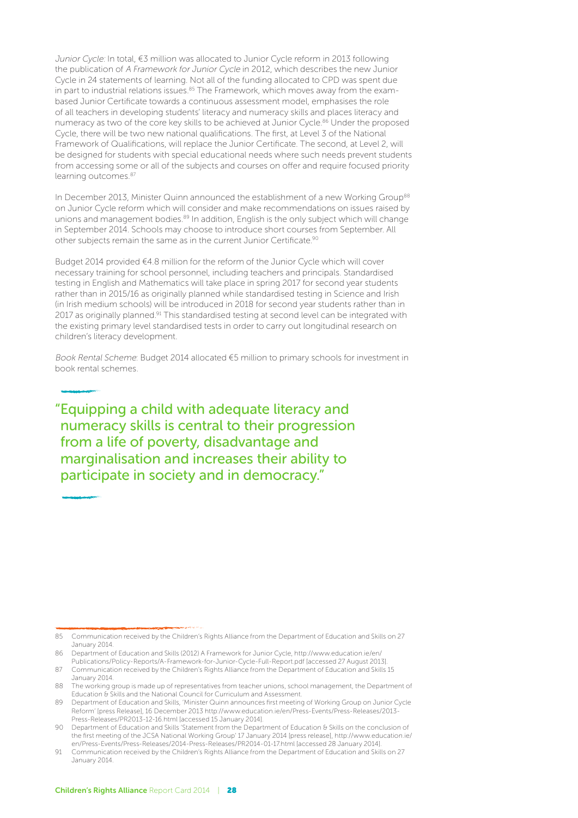Junior Cycle: In total, €3 million was allocated to Junior Cycle reform in 2013 following the publication of A Framework for Junior Cycle in 2012, which describes the new Junior Cycle in 24 statements of learning. Not all of the funding allocated to CPD was spent due in part to industrial relations issues.<sup>85</sup> The Framework, which moves away from the exambased Junior Certificate towards a continuous assessment model, emphasises the role of all teachers in developing students' literacy and numeracy skills and places literacy and numeracy as two of the core key skills to be achieved at Junior Cycle.<sup>86</sup> Under the proposed Cycle, there will be two new national qualifications. The first, at Level 3 of the National Framework of Qualifications, will replace the Junior Certificate. The second, at Level 2, will be designed for students with special educational needs where such needs prevent students from accessing some or all of the subjects and courses on offer and require focused priority learning outcomes.87

In December 2013, Minister Quinn announced the establishment of a new Working Group<sup>88</sup> on Junior Cycle reform which will consider and make recommendations on issues raised by unions and management bodies. $89$  In addition, English is the only subject which will change in September 2014. Schools may choose to introduce short courses from September. All other subjects remain the same as in the current Junior Certificate.<sup>90</sup>

Budget 2014 provided €4.8 million for the reform of the Junior Cycle which will cover necessary training for school personnel, including teachers and principals. Standardised testing in English and Mathematics will take place in spring 2017 for second year students rather than in 2015/16 as originally planned while standardised testing in Science and Irish (in Irish medium schools) will be introduced in 2018 for second year students rather than in 2017 as originally planned.<sup>91</sup> This standardised testing at second level can be integrated with the existing primary level standardised tests in order to carry out longitudinal research on children's literacy development.

Book Rental Scheme: Budget 2014 allocated €5 million to primary schools for investment in book rental schemes.

"Equipping a child with adequate literacy and numeracy skills is central to their progression from a life of poverty, disadvantage and marginalisation and increases their ability to participate in society and in democracy."

<sup>85</sup> Communication received by the Children's Rights Alliance from the Department of Education and Skills on 27 January 2014.

<sup>86</sup> Department of Education and Skills (2012) A Framework for Junior Cycle, http://www.education.ie/en/ Publications/Policy-Reports/A-Framework-for-Junior-Cycle-Full-Report.pdf [accessed 27 August 2013].

<sup>87</sup> Communication received by the Children's Rights Alliance from the Department of Education and Skills 15 January 2014.

<sup>88</sup> The working group is made up of representatives from teacher unions, school management, the Department of Education & Skills and the National Council for Curriculum and Assessment.

<sup>89</sup> Department of Education and Skills, 'Minister Quinn announces first meeting of Working Group on Junior Cycle Reform' [press Release], 16 December 2013 http://www.education.ie/en/Press-Events/Press-Releases/2013- Press-Releases/PR2013-12-16.html [accessed 15 January 2014].

<sup>90</sup> Department of Education and Skills 'Statement from the Department of Education & Skills on the conclusion of the first meeting of the JCSA National Working Group' 17 January 2014 [press release], http://www.education.ie/ en/Press-Events/Press-Releases/2014-Press-Releases/PR2014-01-17.html [accessed 28 January 2014].

<sup>91</sup> Communication received by the Children's Rights Alliance from the Department of Education and Skills on 27 January 2014.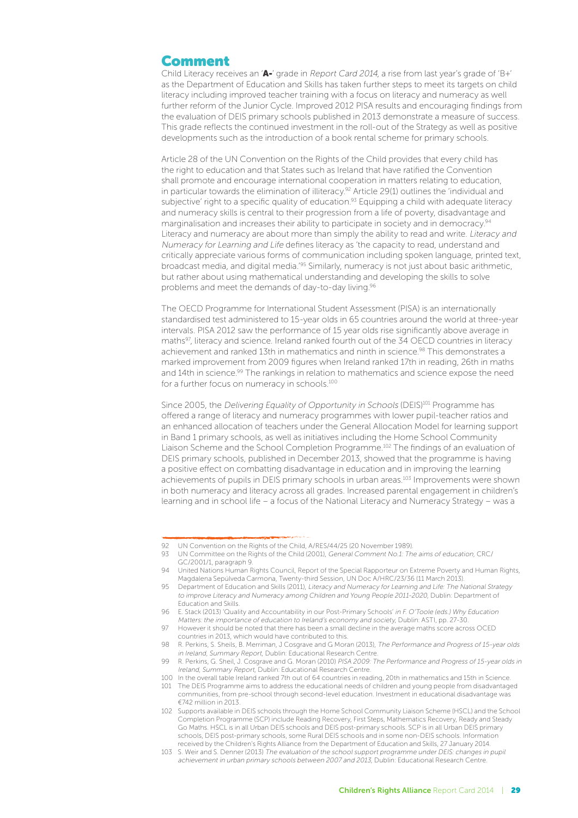#### Comment

Child Literacy receives an 'A-' grade in Report Card 2014, a rise from last year's grade of 'B+' as the Department of Education and Skills has taken further steps to meet its targets on child literacy including improved teacher training with a focus on literacy and numeracy as well further reform of the Junior Cycle. Improved 2012 PISA results and encouraging findings from the evaluation of DEIS primary schools published in 2013 demonstrate a measure of success. This grade reflects the continued investment in the roll-out of the Strategy as well as positive developments such as the introduction of a book rental scheme for primary schools.

Article 28 of the UN Convention on the Rights of the Child provides that every child has the right to education and that States such as Ireland that have ratified the Convention shall promote and encourage international cooperation in matters relating to education, in particular towards the elimination of illiteracy.<sup>92</sup> Article 29(1) outlines the 'individual and subjective' right to a specific quality of education.<sup>93</sup> Equipping a child with adequate literacy and numeracy skills is central to their progression from a life of poverty, disadvantage and marginalisation and increases their ability to participate in society and in democracy.<sup>94</sup> Literacy and numeracy are about more than simply the ability to read and write. Literacy and Numeracy for Learning and Life defines literacy as 'the capacity to read, understand and critically appreciate various forms of communication including spoken language, printed text, broadcast media, and digital media.'95 Similarly, numeracy is not just about basic arithmetic, but rather about using mathematical understanding and developing the skills to solve problems and meet the demands of day-to-day living.96

The OECD Programme for International Student Assessment (PISA) is an internationally standardised test administered to 15-year olds in 65 countries around the world at three-year intervals. PISA 2012 saw the performance of 15 year olds rise significantly above average in maths97, literacy and science. Ireland ranked fourth out of the 34 OECD countries in literacy achievement and ranked 13th in mathematics and ninth in science.<sup>98</sup> This demonstrates a marked improvement from 2009 figures when Ireland ranked 17th in reading, 26th in maths and 14th in science.<sup>99</sup> The rankings in relation to mathematics and science expose the need for a further focus on numeracy in schools.100

Since 2005, the Delivering Equality of Opportunity in Schools (DEIS)<sup>101</sup> Programme has offered a range of literacy and numeracy programmes with lower pupil-teacher ratios and an enhanced allocation of teachers under the General Allocation Model for learning support in Band 1 primary schools, as well as initiatives including the Home School Community Liaison Scheme and the School Completion Programme.102 The findings of an evaluation of DEIS primary schools, published in December 2013, showed that the programme is having a positive effect on combatting disadvantage in education and in improving the learning achievements of pupils in DEIS primary schools in urban areas.103 Improvements were shown in both numeracy and literacy across all grades. Increased parental engagement in children's learning and in school life – a focus of the National Literacy and Numeracy Strategy – was a

<sup>92</sup> UN Convention on the Rights of the Child, A/RES/44/25 (20 November 1989).

<sup>93</sup> UN Committee on the Rights of the Child (2001), General Comment No.1: The aims of education, CRC/ GC/2001/1, paragraph 9.

<sup>94</sup> United Nations Human Rights Council, Report of the Special Rapporteur on Extreme Poverty and Human Rights, Magdalena Sepúlveda Carmona, Twenty-third Session, UN Doc A/HRC/23/36 (11 March 2013).

<sup>95</sup> Department of Education and Skills (2011), Literacy and Numeracy for Learning and Life: The National Strategy to improve Literacy and Numeracy among Children and Young People 2011-2020, Dublin: Department of Education and Skills.

<sup>96</sup> E. Stack (2013) 'Quality and Accountability in our Post-Primary Schools' in F. O'Toole (eds.) Why Education Matters: the importance of education to Ireland's economy and society, Dublin: ASTI, pp. 27-30.

<sup>97</sup> However it should be noted that there has been a small decline in the average maths score across OCED countries in 2013, which would have contributed to this.

<sup>98</sup> R. Perkins, S. Sheils, B. Merriman, J Cosgrave and G Moran (2013), The Performance and Progress of 15-year olds in Ireland, Summary Report, Dublin: Educational Research Centre.

<sup>99</sup> R. Perkins, G. Sheil, J. Cosgrave and G. Moran (2010) PISA 2009: The Performance and Progress of 15-year olds in Ireland, Summary Report, Dublin: Educational Research Centre.

<sup>100</sup> In the overall table Ireland ranked 7th out of 64 countries in reading, 20th in mathematics and 15th in Science. 101 The DEIS Programme aims to address the educational needs of children and young people from disadvantaged

communities, from pre-school through second-level education. Investment in educational disadvantage was €742 million in 2013. 102 Supports available in DEIS schools through the Home School Community Liaison Scheme (HSCL) and the School Completion Programme (SCP) include Reading Recovery, First Steps, Mathematics Recovery, Ready and Steady

Go Maths. HSCL is in all Urban DEIS schools and DEIS post-primary schools. SCP is in all Urban DEIS primary schools, DEIS post-primary schools, some Rural DEIS schools and in some non-DEIS schools. Information received by the Children's Rights Alliance from the Department of Education and Skills, 27 January 2014.

<sup>103</sup> S. Weir and S. Denner (2013) The evaluation of the school support programme under DEIS: changes in pupil achievement in urban primary schools between 2007 and 2013, Dublin: Educational Research Centre.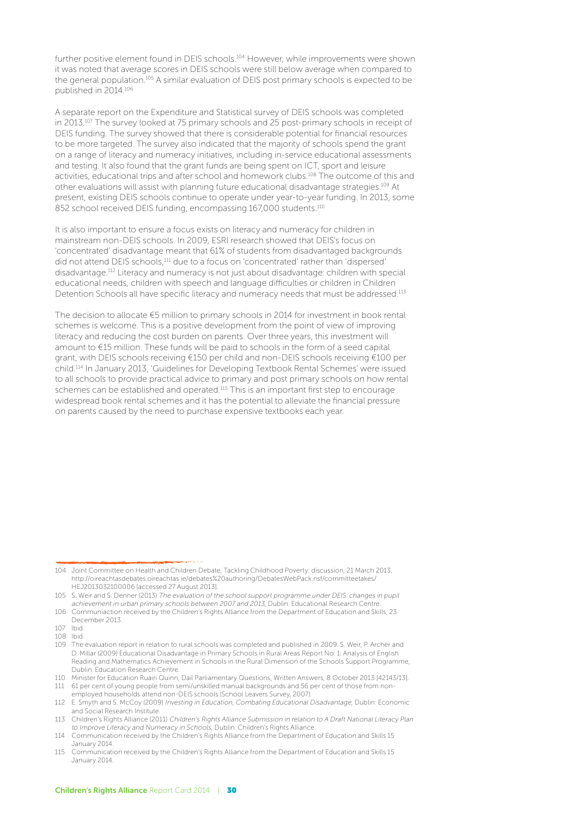further positive element found in DEIS schools.<sup>104</sup> However, while improvements were shown it was noted that average scores in DEIS schools were still below average when compared to the general population.105 A similar evaluation of DEIS post primary schools is expected to be published in 2014.106

A separate report on the Expenditure and Statistical survey of DEIS schools was completed in 2013.<sup>107</sup> The survey looked at 75 primary schools and 25 post-primary schools in receipt of DEIS funding. The survey showed that there is considerable potential for financial resources to be more targeted. The survey also indicated that the majority of schools spend the grant on a range of literacy and numeracy initiatives, including in-service educational assessments and testing. It also found that the grant funds are being spent on ICT, sport and leisure activities, educational trips and after school and homework clubs.108 The outcome of this and other evaluations will assist with planning future educational disadvantage strategies.109 At present, existing DEIS schools continue to operate under year-to-year funding. In 2013, some 852 school received DEIS funding, encompassing 167,000 students.<sup>110</sup>

It is also important to ensure a focus exists on literacy and numeracy for children in mainstream non-DEIS schools. In 2009, ESRI research showed that DEIS's focus on 'concentrated' disadvantage meant that 61% of students from disadvantaged backgrounds did not attend DEIS schools,111 due to a focus on 'concentrated' rather than 'dispersed' disadvantage.112 Literacy and numeracy is not just about disadvantage: children with special educational needs, children with speech and language difficulties or children in Children Detention Schools all have specific literacy and numeracy needs that must be addressed.<sup>113</sup>

The decision to allocate €5 million to primary schools in 2014 for investment in book rental schemes is welcome. This is a positive development from the point of view of improving literacy and reducing the cost burden on parents. Over three years, this investment will amount to €15 million. These funds will be paid to schools in the form of a seed capital grant, with DEIS schools receiving €150 per child and non-DEIS schools receiving €100 per child.114 In January 2013, 'Guidelines for Developing Textbook Rental Schemes' were issued to all schools to provide practical advice to primary and post primary schools on how rental schemes can be established and operated.115 This is an important first step to encourage widespread book rental schemes and it has the potential to alleviate the financial pressure on parents caused by the need to purchase expensive textbooks each year.

<sup>104</sup> Joint Committee on Health and Children Debate, Tackling Childhood Poverty: discussion, 21 March 2013, http://oireachtasdebates.oireachtas.ie/debates%20authoring/DebatesWebPack.nsf/committeetakes/ HEJ2013032100006 [accessed 27 August 2013].

<sup>105</sup> S. Weir and S. Denner (2013) The evaluation of the school support programme under DEIS: changes in pupil achievement in urban primary schools between 2007 and 2013, Dublin: Educational Research Centre.

<sup>106</sup> Communiaction received by the Children's Rights Alliance from the Department of Education and Skills, 23 December 2013.

<sup>107</sup> Ibid. 108 Ibid.

<sup>109</sup> The evaluation report in relation to rural schools was completed and published in 2009: S. Weir, P. Archer and D. Millar (2009) Educational Disadvantage in Primary Schools in Rural Areas Report No. 1: Analysis of English Reading and Mathematics Achievement in Schools in the Rural Dimension of the Schools Support Programme, Dublin: Education Research Centre.

<sup>110</sup> Minister for Education Ruairi Quinn, Dail Parliamentary Questions, Written Answers, 8 October 2013 [42143/13]. 111 61 per cent of young people from semi/unskilled manual backgrounds and 56 per cent of those from nonemployed households attend non-DEIS schools (School Leavers Survey, 2007).

<sup>112</sup> E. Smyth and S. McCoy (2009) Investing in Education, Combating Educational Disadvantage, Dublin: Economic and Social Research Institute.

<sup>113</sup> Children's Rights Alliance (2011) Children's Rights Alliance Submission in relation to A Draft National Literacy Plan to Improve Literacy and Numeracy in Schools, Dublin: Children's Rights Alliance

<sup>114</sup> Communication received by the Children's Rights Alliance from the Department of Education and Skills 15 January 2014.

<sup>115</sup> Communication received by the Children's Rights Alliance from the Department of Education and Skills 15 January 2014.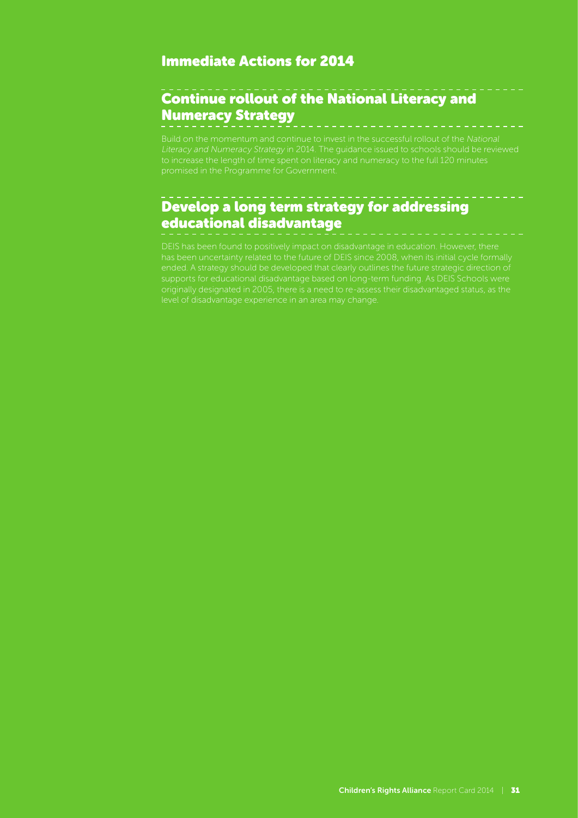#### Immediate Actions for 2014

## Continue rollout of the National Literacy and Numeracy Strategy

Build on the momentum and continue to invest in the successful rollout of the National

## Develop a long term strategy for addressing educational disadvantage

originally designated in 2005, there is a need to re-assess their disadvantaged status, as the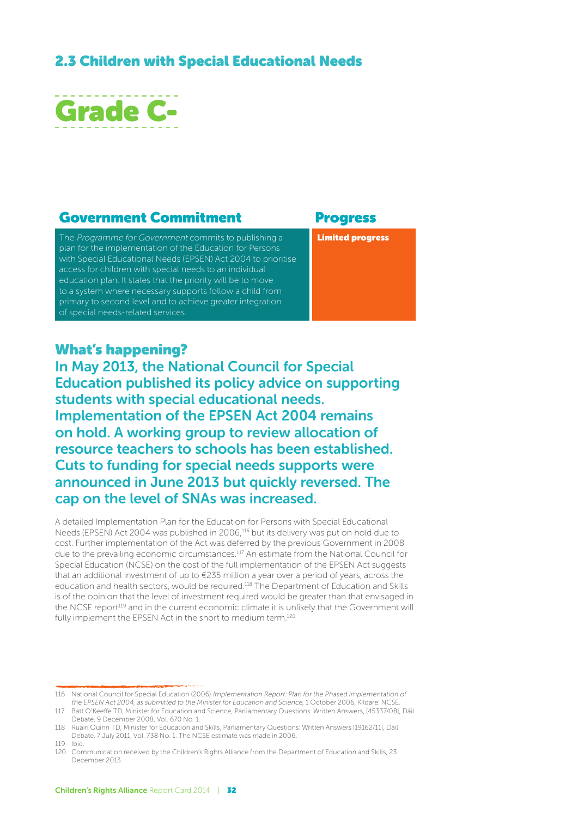## 2.3 Children with Special Educational Needs



#### Government Commitment Progress

The Programme for Government commits to publishing a plan for the implementation of the Education for Persons with Special Educational Needs (EPSEN) Act 2004 to prioritise access for children with special needs to an individual education plan. It states that the priority will be to move to a system where necessary supports follow a child from primary to second level and to achieve greater integration of special needs-related services.

Limited progress

#### What's happening?

In May 2013, the National Council for Special Education published its policy advice on supporting students with special educational needs. Implementation of the EPSEN Act 2004 remains on hold. A working group to review allocation of resource teachers to schools has been established. Cuts to funding for special needs supports were announced in June 2013 but quickly reversed. The cap on the level of SNAs was increased.

A detailed Implementation Plan for the Education for Persons with Special Educational Needs (EPSEN) Act 2004 was published in 2006,<sup>116</sup> but its delivery was put on hold due to cost. Further implementation of the Act was deferred by the previous Government in 2008 due to the prevailing economic circumstances.117 An estimate from the National Council for Special Education (NCSE) on the cost of the full implementation of the EPSEN Act suggests that an additional investment of up to  $\epsilon$ 235 million a year over a period of years, across the education and health sectors, would be required.118 The Department of Education and Skills is of the opinion that the level of investment required would be greater than that envisaged in the NCSE report<sup>119</sup> and in the current economic climate it is unlikely that the Government will fully implement the EPSEN Act in the short to medium term.120

<sup>116</sup> National Council for Special Education (2006) Implementation Report: Plan for the Phased Implementation of the EPSEN Act 2004, as submitted to the Minister for Education and Science, 1 October 2006, Kildare: NCSE

<sup>117</sup> Batt O'Keeffe TD, Minister for Education and Science, Parliamentary Questions: Written Answers, [45337/08], Dáil Debate, 9 December 2008, Vol. 670 No. 1.

<sup>118</sup> Ruairí Quinn TD, Minister for Education and Skills, Parliamentary Questions: Written Answers [19162/11], Dáil Debate, 7 July 2011, Vol. 738 No. 1. The NCSE estimate was made in 2006.

<sup>119</sup> Ibid.

<sup>120</sup> Communication received by the Children's Rights Alliance from the Department of Education and Skills, 23 December 2013.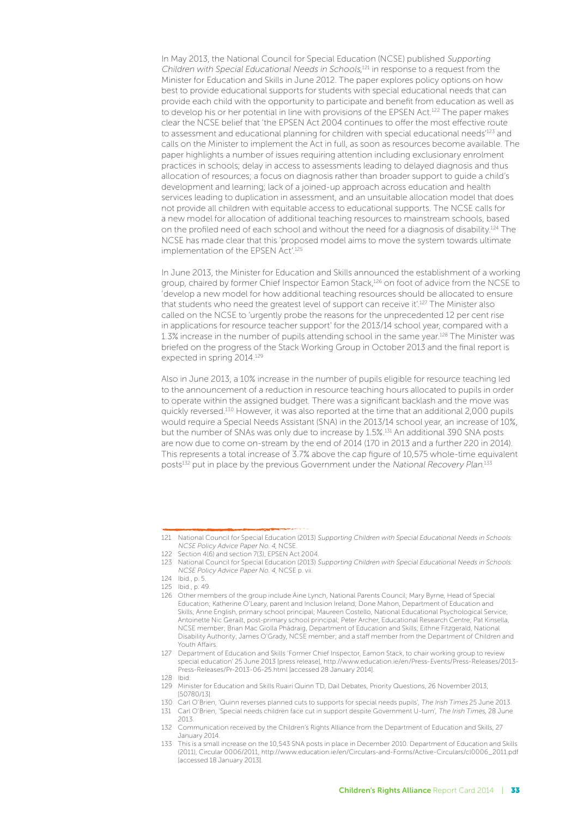In May 2013, the National Council for Special Education (NCSE) published Supporting Children with Special Educational Needs in Schools,<sup>121</sup> in response to a request from the Minister for Education and Skills in June 2012. The paper explores policy options on how best to provide educational supports for students with special educational needs that can provide each child with the opportunity to participate and benefit from education as well as to develop his or her potential in line with provisions of the EPSEN Act.<sup>122</sup> The paper makes clear the NCSE belief that 'the EPSEN Act 2004 continues to offer the most effective route to assessment and educational planning for children with special educational needs<sup>123</sup> and calls on the Minister to implement the Act in full, as soon as resources become available. The paper highlights a number of issues requiring attention including exclusionary enrolment practices in schools; delay in access to assessments leading to delayed diagnosis and thus allocation of resources; a focus on diagnosis rather than broader support to guide a child's development and learning; lack of a joined-up approach across education and health services leading to duplication in assessment, and an unsuitable allocation model that does not provide all children with equitable access to educational supports. The NCSE calls for a new model for allocation of additional teaching resources to mainstream schools, based on the profiled need of each school and without the need for a diagnosis of disability.124 The NCSE has made clear that this 'proposed model aims to move the system towards ultimate implementation of the EPSEN Act'.<sup>125</sup>

In June 2013, the Minister for Education and Skills announced the establishment of a working group, chaired by former Chief Inspector Eamon Stack,<sup>126</sup> on foot of advice from the NCSE to 'develop a new model for how additional teaching resources should be allocated to ensure that students who need the greatest level of support can receive it'.127 The Minister also called on the NCSE to 'urgently probe the reasons for the unprecedented 12 per cent rise in applications for resource teacher support' for the 2013/14 school year, compared with a 1.3% increase in the number of pupils attending school in the same year.128 The Minister was briefed on the progress of the Stack Working Group in October 2013 and the final report is expected in spring 2014.129

Also in June 2013, a 10% increase in the number of pupils eligible for resource teaching led to the announcement of a reduction in resource teaching hours allocated to pupils in order to operate within the assigned budget. There was a significant backlash and the move was quickly reversed.130 However, it was also reported at the time that an additional 2,000 pupils would require a Special Needs Assistant (SNA) in the 2013/14 school year, an increase of 10%, but the number of SNAs was only due to increase by 1.5%.131 An additional 390 SNA posts are now due to come on-stream by the end of 2014 (170 in 2013 and a further 220 in 2014). This represents a total increase of 3.7% above the cap figure of 10,575 whole-time equivalent posts<sup>132</sup> put in place by the previous Government under the *National Recovery Plan.*<sup>133</sup>

<sup>121</sup> National Council for Special Education (2013) Supporting Children with Special Educational Needs in Schools: NCSE Policy Advice Paper No. 4, NCSE.

<sup>122</sup> Section 4(6) and section 7(3), EPSEN Act 2004.

<sup>123</sup> National Council for Special Education (2013) Supporting Children with Special Educational Needs in Schools: NCSE Policy Advice Paper No. 4, NCSE p. vii.

<sup>124</sup> Ibid., p. 5.

<sup>125</sup> Ibid., p. 49.

<sup>126</sup> Other members of the group include Áine Lynch, National Parents Council; Mary Byrne, Head of Special Education; Katherine O'Leary, parent and Inclusion Ireland; Done Mahon, Department of Education and Skills; Anne English, primary school principal; Maureen Costello, National Educational Psychological Service; Antoinette Nic Gerailt, post-primary school principal; Peter Archer, Educational Research Centre; Pat Kinsella, NCSE member; Brian Mac Giolla Phádraig, Department of Education and Skills; Eithne Fitzgerald, National Disability Authority; James O'Grady, NCSE member; and a staff member from the Department of Children and Youth Affairs.

<sup>127</sup> Department of Education and Skills 'Former Chief Inspector, Eamon Stack, to chair working group to review special education' 25 June 2013 [press release], http://www.education.ie/en/Press-Events/Press-Releases/2013- Press-Releases/Pr-2013-06-25.html [accessed 28 January 2014].

<sup>128</sup> Ibid.

<sup>129</sup> Minister for Education and Skills Ruairi Quinn TD, Dail Debates, Priority Questions, 26 November 2013, [50780/13].

<sup>130</sup> Carl O'Brien, 'Quinn reverses planned cuts to supports for special needs pupils', The Irish Times 25 June 2013. 131 Carl O'Brien, 'Special needs children face cut in support despite Government U-turn', The Irish Times, 28 June

<sup>2013.</sup>  132 Communication received by the Children's Rights Alliance from the Department of Education and Skills, 27 January 2014.

<sup>133</sup> This is a small increase on the 10,543 SNA posts in place in December 2010. Department of Education and Skills (2011), Circular 0006/2011, http://www.education.ie/en/Circulars-and-Forms/Active-Circulars/cl0006\_2011.pdf [accessed 18 January 2013].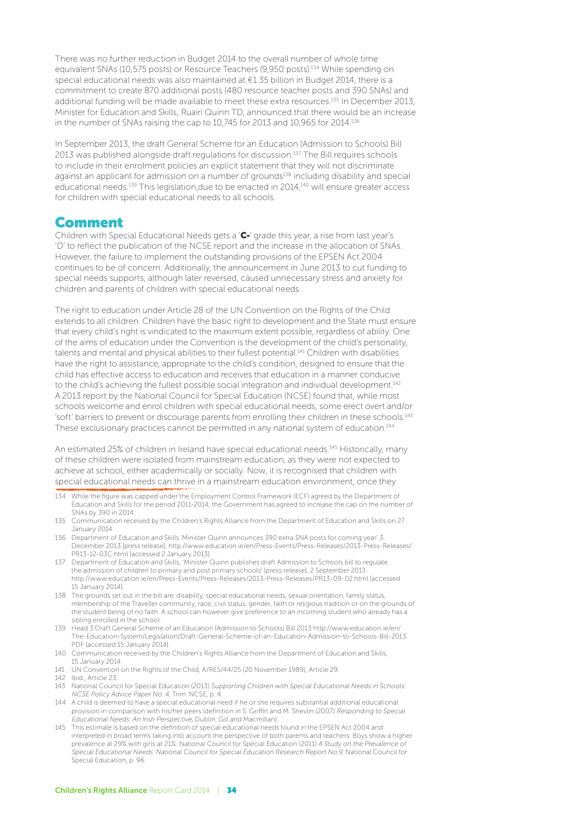There was no further reduction in Budget 2014 to the overall number of whole time equivalent SNAs (10,575 posts) or Resource Teachers (9,950 posts).<sup>134</sup> While spending on special educational needs was also maintained at €1.35 billion in Budget 2014, there is a commitment to create 870 additional posts (480 resource teacher posts and 390 SNAs) and additional funding will be made available to meet these extra resources.<sup>135</sup> In December 2013, Minister for Education and Skills, Ruairí Quinn TD, announced that there would be an increase in the number of SNAs raising the cap to 10,745 for 2013 and 10,965 for 2014.<sup>136</sup>

In September 2013, the draft General Scheme for an Education (Admission to Schools) Bill 2013 was published alongside draft regulations for discussion.137 The Bill requires schools to include in their enrolment policies an explicit statement that they will not discriminate against an applicant for admission on a number of grounds<sup>138</sup> including disability and special educational needs.139 This legislation,due to be enacted in 2014,140 will ensure greater access for children with special educational needs to all schools.

#### Comment

Children with Special Educational Needs gets a 'C-' grade this year, a rise from last year's 'D' to reflect the publication of the NCSE report and the increase in the allocation of SNAs. However, the failure to implement the outstanding provisions of the EPSEN Act 2004 continues to be of concern. Additionally, the announcement in June 2013 to cut funding to special needs supports, although later reversed, caused unnecessary stress and anxiety for children and parents of children with special educational needs.

The right to education under Article 28 of the UN Convention on the Rights of the Child extends to all children. Children have the basic right to development and the State must ensure that every child's right is vindicated to the maximum extent possible, regardless of ability. One of the aims of education under the Convention is the development of the child's personality, talents and mental and physical abilities to their fullest potential.<sup>141</sup> Children with disabilities have the right to assistance, appropriate to the child's condition, designed to ensure that the child has effective access to education and receives that education in a manner conducive to the child's achieving the fullest possible social integration and individual development.<sup>142</sup> A 2013 report by the National Council for Special Education (NCSE) found that, while most schools welcome and enrol children with special educational needs, some erect overt and/or 'soft' barriers to prevent or discourage parents from enrolling their children in these schools.143 These exclusionary practices cannot be permitted in any national system of education.<sup>144</sup>

An estimated 25% of children in Ireland have special educational needs.<sup>145</sup> Historically, many of these children were isolated from mainstream education, as they were not expected to achieve at school, either academically or socially. Now, it is recognised that children with special educational needs can thrive in a mainstream education environment, once they

- 134 While the figure was capped under the Employment Control Framework (ECF) agreed by the Department of Education and Skills for the period 2011-2014, the Government has agreed to increase the cap on the number of SNAs by 390 in 2014.
- 135 Communication received by the Children's Rights Alliance from the Department of Education and Skills on 27 January 2014.
- 136 Department of Education and Skills 'Minister Quinn announces 390 extra SNA posts for coming year' 3 December 2013 [press release], http://www.education.ie/en/Press-Events/Press-Releases/2013-Press-Releases/ PR13-12-03C.html [accessed 2 January 2013].
- 137 Department of Education and Skills, 'Minister Quinn publishes draft Admission to Schools bill to regulate the admission of children to primary and post primary schools' [press release], 2 September 2013 http://www.education.ie/en/Press-Events/Press-Releases/2013-Press-Releases/PR13-09-02.html [accessed 15 January 2014].
- 138 The grounds set out in the bill are: disability, special educational needs, sexual orientation, family status, membership of the Traveller community, race, civil status, gender, faith or religious tradition or on the grounds of the student being of no faith. A school can however give preference to an incoming student who already has a sibling enrolled in the school.
- 139 Head 3 Draft General Scheme of an Education (Admission to Schools) Bill 2013 http://www.education.ie/en/ The-Education-System/Legislation/Draft-General-Scheme-of-an-Education-Admission-to-Schools-Bill-2013. PDF [accessed 15 January 2014].
- 140 Communication received by the Children's Rights Alliance from the Department of Education and Skills, 15 January 2014.
- 141 UN Convention on the Rights of the Child, A/RES/44/25 (20 November 1989), Article 29.
- 142 Ibid., Article 23.

- 144 A child is deemed to have a special educational need if he or she requires substantial additional educational provision in comparison with his/her peers (definition in S. Griffin and M. Shevlin (2007) Responding to Special Educational Needs: An Irish Perspective, Dublin: Gill and Macmillan).
- 145 This estimate is based on the definition of special educational needs found in the EPSEN Act 2004 and interpreted in broad terms taking into account the perspective of both parents and teachers. Boys show a higher prevalence at 29% with girls at 21%. National Council for Special Education (2011) A Study on the Prevalence of Special Educational Needs: National Council for Special Education Research Report No.9, National Council for Special Education, p. 96.

<sup>143</sup> National Council for Special Education (2013) Supporting Children with Special Educational Needs in Schools: NCSE Policy Advice Paper No. 4, Trim: NCSE, p. 4.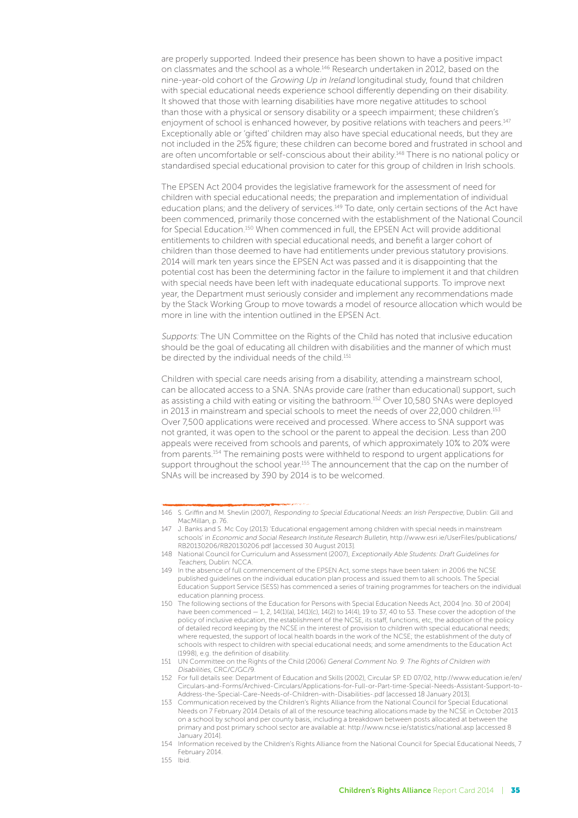are properly supported. Indeed their presence has been shown to have a positive impact on classmates and the school as a whole.146 Research undertaken in 2012, based on the nine-year-old cohort of the Growing Up in Ireland longitudinal study, found that children with special educational needs experience school differently depending on their disability. It showed that those with learning disabilities have more negative attitudes to school than those with a physical or sensory disability or a speech impairment; these children's enjoyment of school is enhanced however, by positive relations with teachers and peers.<sup>147</sup> Exceptionally able or 'gifted' children may also have special educational needs, but they are not included in the 25% figure; these children can become bored and frustrated in school and are often uncomfortable or self-conscious about their ability.<sup>148</sup> There is no national policy or standardised special educational provision to cater for this group of children in Irish schools.

The EPSEN Act 2004 provides the legislative framework for the assessment of need for children with special educational needs; the preparation and implementation of individual education plans; and the delivery of services.<sup>149</sup> To date, only certain sections of the Act have been commenced, primarily those concerned with the establishment of the National Council for Special Education.150 When commenced in full, the EPSEN Act will provide additional entitlements to children with special educational needs, and benefit a larger cohort of children than those deemed to have had entitlements under previous statutory provisions. 2014 will mark ten years since the EPSEN Act was passed and it is disappointing that the potential cost has been the determining factor in the failure to implement it and that children with special needs have been left with inadequate educational supports. To improve next year, the Department must seriously consider and implement any recommendations made by the Stack Working Group to move towards a model of resource allocation which would be more in line with the intention outlined in the EPSEN Act.

Supports: The UN Committee on the Rights of the Child has noted that inclusive education should be the goal of educating all children with disabilities and the manner of which must be directed by the individual needs of the child.<sup>151</sup>

Children with special care needs arising from a disability, attending a mainstream school, can be allocated access to a SNA. SNAs provide care (rather than educational) support, such as assisting a child with eating or visiting the bathroom.152 Over 10,580 SNAs were deployed in 2013 in mainstream and special schools to meet the needs of over 22,000 children.<sup>153</sup> Over 7,500 applications were received and processed. Where access to SNA support was not granted, it was open to the school or the parent to appeal the decision. Less than 200 appeals were received from schools and parents, of which approximately 10% to 20% were from parents.154 The remaining posts were withheld to respond to urgent applications for support throughout the school year.155 The announcement that the cap on the number of SNAs will be increased by 390 by 2014 is to be welcomed.

<sup>146</sup> S. Griffin and M. Shevlin (2007), Responding to Special Educational Needs: an Irish Perspective, Dublin: Gill and MacMillan, p. 76.

J. Banks and S. Mc Coy (2013) 'Educational engagement among children with special needs in mainstream schools' in Economic and Social Research Institute Research Bulletin, http://www.esri.ie/UserFiles/publications/ RB20130206/RB20130206.pdf [accessed 30 August 2013].

<sup>148</sup> National Council for Curriculum and Assessment (2007), Exceptionally Able Students: Draft Guidelines for Teachers, Dublin: NCCA.

<sup>149</sup> In the absence of full commencement of the EPSEN Act, some steps have been taken: in 2006 the NCSE published guidelines on the individual education plan process and issued them to all schools. The Special Education Support Service (SESS) has commenced a series of training programmes for teachers on the individual education planning process.

<sup>150</sup> The following sections of the Education for Persons with Special Education Needs Act, 2004 [no. 30 of 2004] have been commenced  $-1$ , 2, 14(1)(a), 14(1)(c), 14(2) to 14(4), 19 to 37, 40 to 53. These cover the adoption of the policy of inclusive education, the establishment of the NCSE, its staff, functions, etc, the adoption of the policy of detailed record keeping by the NCSE in the interest of provision to children with special educational needs; where requested, the support of local health boards in the work of the NCSE; the establishment of the duty of schools with respect to children with special educational needs; and some amendments to the Education Act (1998), e.g. the definition of disability.

<sup>151</sup> UN Committee on the Rights of the Child (2006) General Comment No. 9: The Rights of Children with Disabilities, CRC/C/GC/9.

<sup>152</sup> For full details see: Department of Education and Skills (2002), Circular SP. ED 07/02, http://www.education.ie/en/ Circulars-and-Forms/Archived-Circulars/Applications-for-Full-or-Part-time-Special-Needs-Assistant-Support-to-Address-the-Special-Care-Needs-of-Children-with-Disabilities-.pdf [accessed 18 January 2013].

<sup>153</sup> Communication received by the Children's Rights Alliance from the National Council for Special Educational Needs on 7 February 2014.Details of all of the resource teaching allocations made by the NCSE in October 2013 on a school by school and per county basis, including a breakdown between posts allocated at between the primary and post primary school sector are available at: http://www.ncse.ie/statistics/national.asp [accessed 8 January 2014].

<sup>154</sup> Information received by the Children's Rights Alliance from the National Council for Special Educational Needs, 7 February 2014.

<sup>155</sup> Ibid.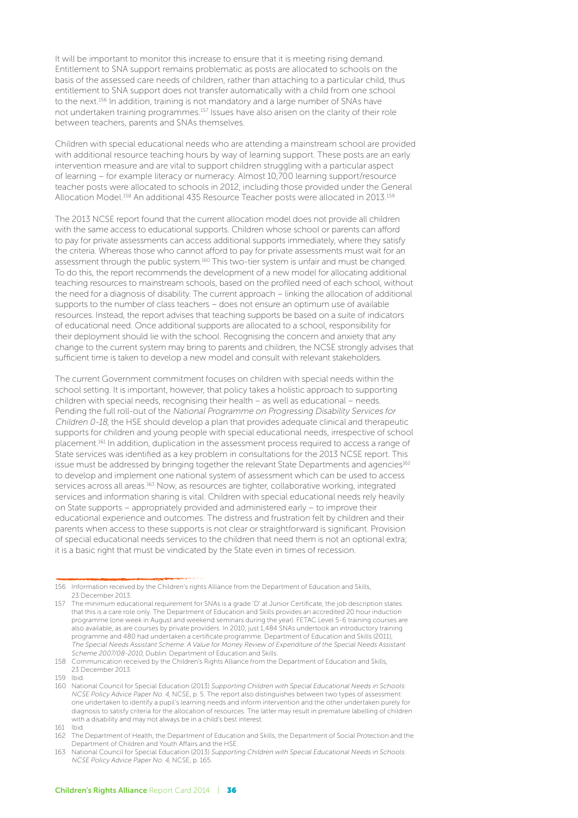It will be important to monitor this increase to ensure that it is meeting rising demand. Entitlement to SNA support remains problematic as posts are allocated to schools on the basis of the assessed care needs of children, rather than attaching to a particular child, thus entitlement to SNA support does not transfer automatically with a child from one school to the next.<sup>156</sup> In addition, training is not mandatory and a large number of SNAs have not undertaken training programmes.157 Issues have also arisen on the clarity of their role between teachers, parents and SNAs themselves.

Children with special educational needs who are attending a mainstream school are provided with additional resource teaching hours by way of learning support. These posts are an early intervention measure and are vital to support children struggling with a particular aspect of learning – for example literacy or numeracy. Almost 10,700 learning support/resource teacher posts were allocated to schools in 2012, including those provided under the General Allocation Model.<sup>158</sup> An additional 435 Resource Teacher posts were allocated in 2013.<sup>159</sup>

The 2013 NCSE report found that the current allocation model does not provide all children with the same access to educational supports. Children whose school or parents can afford to pay for private assessments can access additional supports immediately, where they satisfy the criteria. Whereas those who cannot afford to pay for private assessments must wait for an assessment through the public system.<sup>160</sup> This two-tier system is unfair and must be changed. To do this, the report recommends the development of a new model for allocating additional teaching resources to mainstream schools, based on the profiled need of each school, without the need for a diagnosis of disability. The current approach – linking the allocation of additional supports to the number of class teachers – does not ensure an optimum use of available resources. Instead, the report advises that teaching supports be based on a suite of indicators of educational need. Once additional supports are allocated to a school, responsibility for their deployment should lie with the school. Recognising the concern and anxiety that any change to the current system may bring to parents and children, the NCSE strongly advises that sufficient time is taken to develop a new model and consult with relevant stakeholders.

The current Government commitment focuses on children with special needs within the school setting. It is important, however, that policy takes a holistic approach to supporting children with special needs, recognising their health – as well as educational – needs. Pending the full roll-out of the National Programme on Progressing Disability Services for Children 0-18, the HSE should develop a plan that provides adequate clinical and therapeutic supports for children and young people with special educational needs, irrespective of school placement.161 In addition, duplication in the assessment process required to access a range of State services was identified as a key problem in consultations for the 2013 NCSE report. This issue must be addressed by bringing together the relevant State Departments and agencies<sup>162</sup> to develop and implement one national system of assessment which can be used to access services across all areas.<sup>163</sup> Now, as resources are tighter, collaborative working, integrated services and information sharing is vital. Children with special educational needs rely heavily on State supports – appropriately provided and administered early – to improve their educational experience and outcomes. The distress and frustration felt by children and their parents when access to these supports is not clear or straightforward is significant. Provision of special educational needs services to the children that need them is not an optional extra; it is a basic right that must be vindicated by the State even in times of recession.

<sup>156</sup> Information received by the Children's rights Alliance from the Department of Education and Skills, 23 December 2013.

<sup>157</sup> The minimum educational requirement for SNAs is a grade 'D' at Junior Certificate, the job description states that this is a care role only. The Department of Education and Skills provides an accredited 20 hour induction programme (one week in August and weekend seminars during the year). FETAC Level 5-6 training courses are also available, as are courses by private providers. In 2010, just 1,484 SNAs undertook an introductory training programme and 480 had undertaken a certificate programme. Department of Education and Skills (2011), The Special Needs Assistant Scheme: A Value for Money Review of Expenditure of the Special Needs Assistant Scheme 2007/08-2010, Dublin: Department of Education and Skills.

<sup>158</sup> Communication received by the Children's Rights Alliance from the Department of Education and Skills, 23 December 2013.

<sup>159</sup> Ibid.

<sup>160</sup> National Council for Special Education (2013) Supporting Children with Special Educational Needs in Schools: NCSE Policy Advice Paper No. 4, NCSE, p. 5. The report also distinguishes between two types of assessment: one undertaken to identify a pupil's learning needs and inform intervention and the other undertaken purely for diagnosis to satisfy criteria for the allocation of resources. The latter may result in premature labelling of children with a disability and may not always be in a child's best interest.

<sup>161</sup> Ibid.

<sup>162</sup> The Department of Health, the Department of Education and Skills, the Department of Social Protection and the Department of Children and Youth Affairs and the HSE.

<sup>163</sup> National Council for Special Education (2013) Supporting Children with Special Educational Needs in Schools: NCSE Policy Advice Paper No. 4, NCSE, p. 165.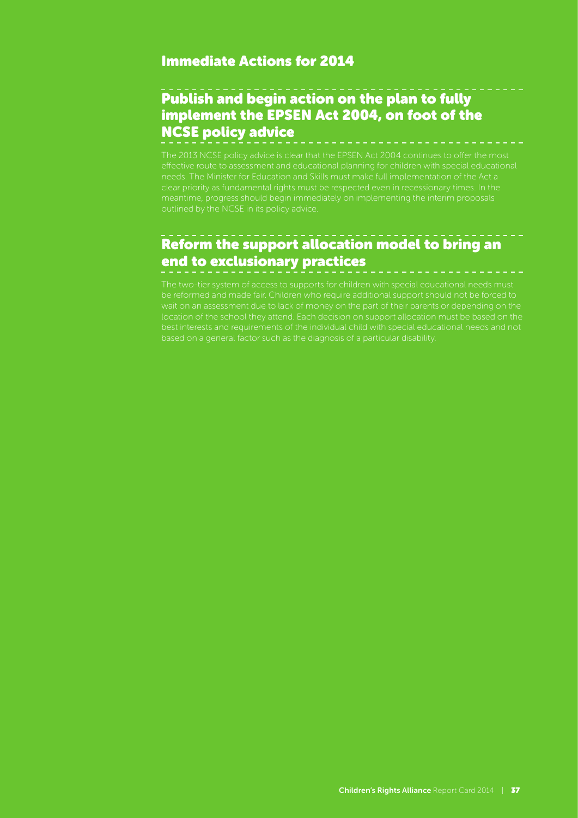#### Immediate Actions for 2014

## Publish and begin action on the plan to fully implement the EPSEN Act 2004, on foot of the NCSE policy advice

The 2013 NCSE policy advice is clear that the EPSEN Act 2004 continues to offer the most effective route to assessment and educational planning for children with special educational needs. The Minister for Education and Skills must make full implementation of the Act a

## Reform the support allocation model to bring an end to exclusionary practices

best interests and requirements of the individual child with special educational needs and not based on a general factor such as the diagnosis of a particular disability.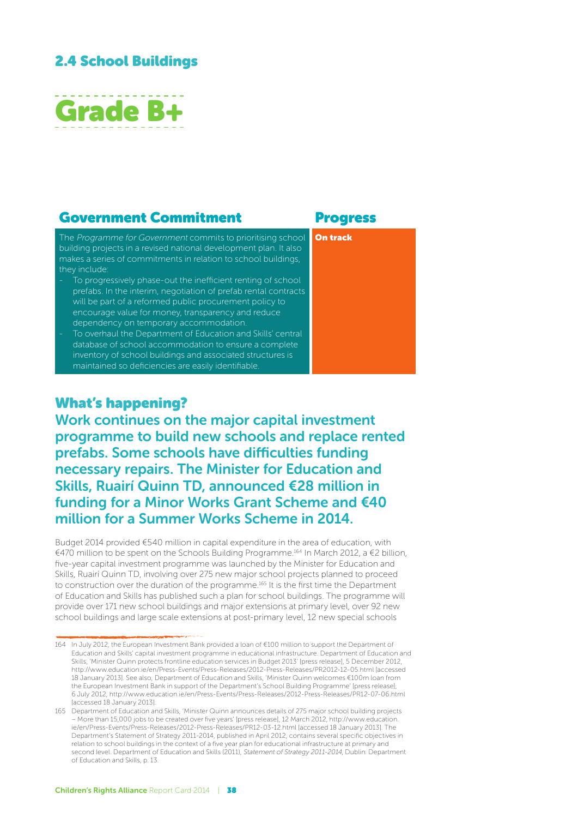## 2.4 School Buildings



#### Government Commitment Progress

On track

The Programme for Government commits to prioritising school building projects in a revised national development plan. It also makes a series of commitments in relation to school buildings, they include:

- To progressively phase-out the inefficient renting of school prefabs. In the interim, negotiation of prefab rental contracts will be part of a reformed public procurement policy to encourage value for money, transparency and reduce dependency on temporary accommodation.
- To overhaul the Department of Education and Skills' central database of school accommodation to ensure a complete inventory of school buildings and associated structures is maintained so deficiencies are easily identifiable.

## What's happening?

Work continues on the major capital investment programme to build new schools and replace rented prefabs. Some schools have difficulties funding necessary repairs. The Minister for Education and Skills, Ruairí Quinn TD, announced €28 million in funding for a Minor Works Grant Scheme and €40 million for a Summer Works Scheme in 2014.

Budget 2014 provided €540 million in capital expenditure in the area of education, with €470 million to be spent on the Schools Building Programme.164 In March 2012, a €2 billion, five-year capital investment programme was launched by the Minister for Education and Skills, Ruairí Quinn TD, involving over 275 new major school projects planned to proceed to construction over the duration of the programme.165 It is the first time the Department of Education and Skills has published such a plan for school buildings. The programme will provide over 171 new school buildings and major extensions at primary level, over 92 new school buildings and large scale extensions at post-primary level, 12 new special schools

<sup>164</sup> In July 2012, the European Investment Bank provided a loan of €100 million to support the Department of Education and Skills' capital investment programme in educational infrastructure. Department of Education and Skills, 'Minister Quinn protects frontline education services in Budget 2013' [press release], 5 December 2012, http://www.education.ie/en/Press-Events/Press-Releases/2012-Press-Releases/PR2012-12-05.html [accessed 18 January 2013]. See also, Department of Education and Skills, 'Minister Quinn welcomes €100m loan from the European Investment Bank in support of the Department's School Building Programme' [press release], 6 July 2012, http://www.education.ie/en/Press-Events/Press-Releases/2012-Press-Releases/PR12-07-06.html [accessed 18 January 2013].

<sup>165</sup> Department of Education and Skills, 'Minister Quinn announces details of 275 major school building projects – More than 15,000 jobs to be created over five years' [press release], 12 March 2012, http://www.education. ie/en/Press-Events/Press-Releases/2012-Press-Releases/PR12-03-12.html [accessed 18 January 2013]. The Department's Statement of Strategy 2011-2014, published in April 2012, contains several specific objectives in relation to school buildings in the context of a five year plan for educational infrastructure at primary and second level. Department of Education and Skills (2011), Statement of Strategy 2011-2014, Dublin: Department of Education and Skills, p. 13.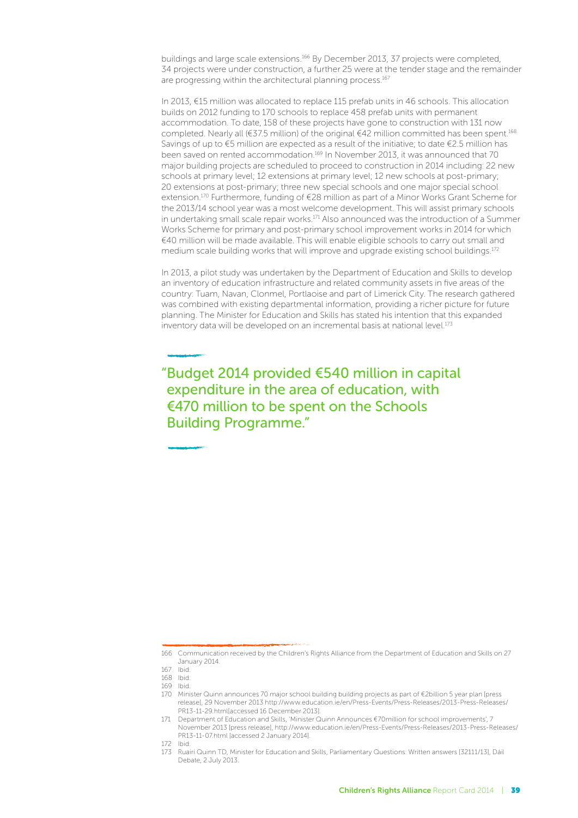buildings and large scale extensions.<sup>166</sup> By December 2013, 37 projects were completed, 34 projects were under construction, a further 25 were at the tender stage and the remainder are progressing within the architectural planning process.<sup>167</sup>

In 2013, €15 million was allocated to replace 115 prefab units in 46 schools. This allocation builds on 2012 funding to 170 schools to replace 458 prefab units with permanent accommodation. To date, 158 of these projects have gone to construction with 131 now completed. Nearly all (€37.5 million) of the original €42 million committed has been spent.<sup>168</sup> Savings of up to  $\epsilon$ 5 million are expected as a result of the initiative; to date  $\epsilon$ 2.5 million has been saved on rented accommodation.169 In November 2013, it was announced that 70 major building projects are scheduled to proceed to construction in 2014 including: 22 new schools at primary level; 12 extensions at primary level; 12 new schools at post-primary; 20 extensions at post-primary; three new special schools and one major special school extension.170 Furthermore, funding of €28 million as part of a Minor Works Grant Scheme for the 2013/14 school year was a most welcome development. This will assist primary schools in undertaking small scale repair works.<sup>171</sup> Also announced was the introduction of a Summer Works Scheme for primary and post-primary school improvement works in 2014 for which €40 million will be made available. This will enable eligible schools to carry out small and medium scale building works that will improve and upgrade existing school buildings.<sup>172</sup>

In 2013, a pilot study was undertaken by the Department of Education and Skills to develop an inventory of education infrastructure and related community assets in five areas of the country: Tuam, Navan, Clonmel, Portlaoise and part of Limerick City. The research gathered was combined with existing departmental information, providing a richer picture for future planning. The Minister for Education and Skills has stated his intention that this expanded inventory data will be developed on an incremental basis at national level.<sup>173</sup>

"Budget 2014 provided €540 million in capital expenditure in the area of education, with €470 million to be spent on the Schools Building Programme."

<sup>166</sup> Communication received by the Children's Rights Alliance from the Department of Education and Skills on 27 January 2014.

<sup>167</sup> Ibid.

<sup>168</sup> Ibid.

<sup>169</sup> Ibid.

<sup>170</sup> Minister Quinn announces 70 major school building building projects as part of €2billion 5 year plan [press release], 29 November 2013 http://www.education.ie/en/Press-Events/Press-Releases/2013-Press-Releases/ PR13-11-29.html[accessed 16 December 2013].

<sup>171</sup> Department of Education and Skills, 'Minister Quinn Announces €70million for school improvements', 7 November 2013 [press release], http://www.education.ie/en/Press-Events/Press-Releases/2013-Press-Releases/ PR13-11-07.html [accessed 2 January 2014].

<sup>172</sup> Ibid.<br>173 Ruai

<sup>173</sup> Ruairí Quinn TD, Minister for Education and Skills, Parliamentary Questions: Written answers [32111/13], Dáil Debate, 2 July 2013.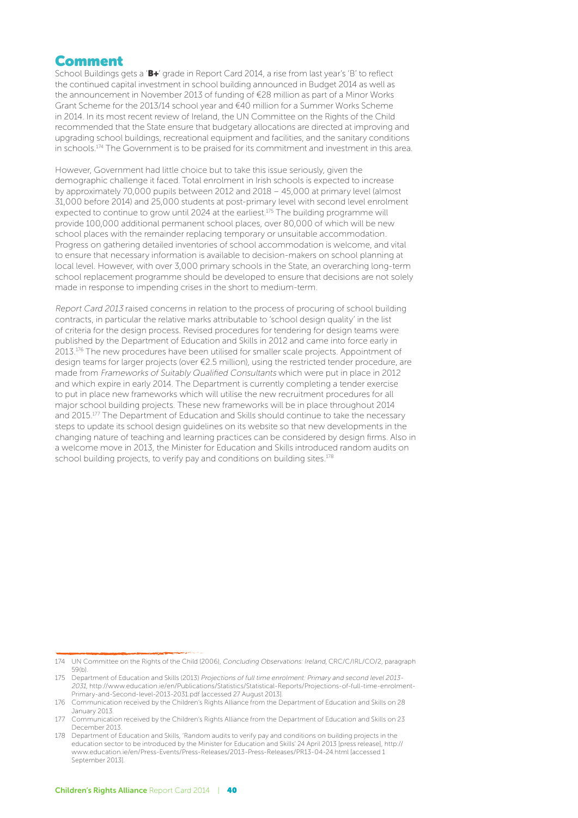#### Comment

School Buildings gets a 'B+' grade in Report Card 2014, a rise from last year's 'B' to reflect the continued capital investment in school building announced in Budget 2014 as well as the announcement in November 2013 of funding of €28 million as part of a Minor Works Grant Scheme for the 2013/14 school year and €40 million for a Summer Works Scheme in 2014. In its most recent review of Ireland, the UN Committee on the Rights of the Child recommended that the State ensure that budgetary allocations are directed at improving and upgrading school buildings, recreational equipment and facilities, and the sanitary conditions in schools.<sup>174</sup> The Government is to be praised for its commitment and investment in this area.

However, Government had little choice but to take this issue seriously, given the demographic challenge it faced. Total enrolment in Irish schools is expected to increase by approximately 70,000 pupils between 2012 and 2018 – 45,000 at primary level (almost 31,000 before 2014) and 25,000 students at post-primary level with second level enrolment expected to continue to grow until 2024 at the earliest.<sup>175</sup> The building programme will provide 100,000 additional permanent school places, over 80,000 of which will be new school places with the remainder replacing temporary or unsuitable accommodation. Progress on gathering detailed inventories of school accommodation is welcome, and vital to ensure that necessary information is available to decision-makers on school planning at local level. However, with over 3,000 primary schools in the State, an overarching long-term school replacement programme should be developed to ensure that decisions are not solely made in response to impending crises in the short to medium-term.

Report Card 2013 raised concerns in relation to the process of procuring of school building contracts, in particular the relative marks attributable to 'school design quality' in the list of criteria for the design process. Revised procedures for tendering for design teams were published by the Department of Education and Skills in 2012 and came into force early in 2013.176 The new procedures have been utilised for smaller scale projects. Appointment of design teams for larger projects (over €2.5 million), using the restricted tender procedure, are made from Frameworks of Suitably Qualified Consultants which were put in place in 2012 and which expire in early 2014. The Department is currently completing a tender exercise to put in place new frameworks which will utilise the new recruitment procedures for all major school building projects. These new frameworks will be in place throughout 2014 and 2015.177 The Department of Education and Skills should continue to take the necessary steps to update its school design guidelines on its website so that new developments in the changing nature of teaching and learning practices can be considered by design firms. Also in a welcome move in 2013, the Minister for Education and Skills introduced random audits on school building projects, to verify pay and conditions on building sites.<sup>178</sup>

<sup>174</sup> UN Committee on the Rights of the Child (2006), Concluding Observations: Ireland, CRC/C/IRL/CO/2, paragraph 59(b).

<sup>175</sup> Department of Education and Skills (2013) Projections of full time enrolment: Primary and second level 2013- 2031, http://www.education.ie/en/Publications/Statistics/Statistical-Reports/Projections-of-full-time-enrolment-Primary-and-Second-level-2013-2031.pdf [accessed 27 August 2013].

<sup>176</sup> Communication received by the Children's Rights Alliance from the Department of Education and Skills on 28 January 2013.

<sup>177</sup> Communication received by the Children's Rights Alliance from the Department of Education and Skills on 23 December 2013.

<sup>178</sup> Department of Education and Skills, 'Random audits to verify pay and conditions on building projects in the education sector to be introduced by the Minister for Education and Skills' 24 April 2013 [press release], http:// www.education.ie/en/Press-Events/Press-Releases/2013-Press-Releases/PR13-04-24.html [accessed 1 September 2013].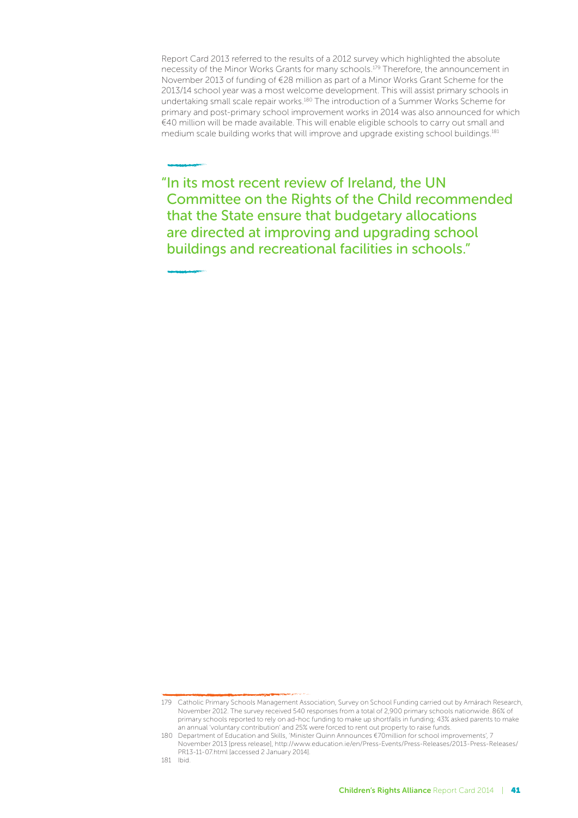Report Card 2013 referred to the results of a 2012 survey which highlighted the absolute necessity of the Minor Works Grants for many schools.179 Therefore, the announcement in November 2013 of funding of €28 million as part of a Minor Works Grant Scheme for the 2013/14 school year was a most welcome development. This will assist primary schools in undertaking small scale repair works.180 The introduction of a Summer Works Scheme for primary and post-primary school improvement works in 2014 was also announced for which €40 million will be made available. This will enable eligible schools to carry out small and medium scale building works that will improve and upgrade existing school buildings.<sup>181</sup>

"In its most recent review of Ireland, the UN Committee on the Rights of the Child recommended that the State ensure that budgetary allocations are directed at improving and upgrading school buildings and recreational facilities in schools."

<sup>179</sup> Catholic Primary Schools Management Association, Survey on School Funding carried out by Amárach Research, November 2012. The survey received 540 responses from a total of 2,900 primary schools nationwide. 86% of primary schools reported to rely on ad-hoc funding to make up shortfalls in funding; 43% asked parents to make an annual 'voluntary contribution' and 25% were forced to rent out property to raise funds.

<sup>180</sup> Department of Education and Skills, 'Minister Quinn Announces €70million for school improvements', 7 November 2013 [press release], http://www.education.ie/en/Press-Events/Press-Releases/2013-Press-Releases/ PR13-11-07.html [accessed 2 January 2014].

<sup>181</sup> Ibid.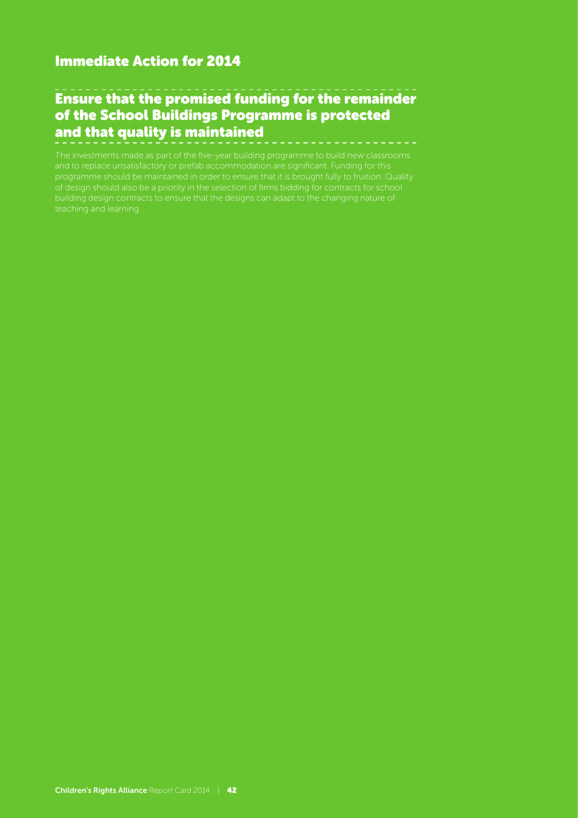#### Immediate Action for 2014

## Ensure that the promised funding for the remainder of the School Buildings Programme is protected and that quality is maintained

The investments made as part of the five-year building programme to build new classrooms and to replace unsatisfactory or prefab accommodation are significant. Funding for this programme should be maintained in order to ensure that it is brought fully to fruition. Quality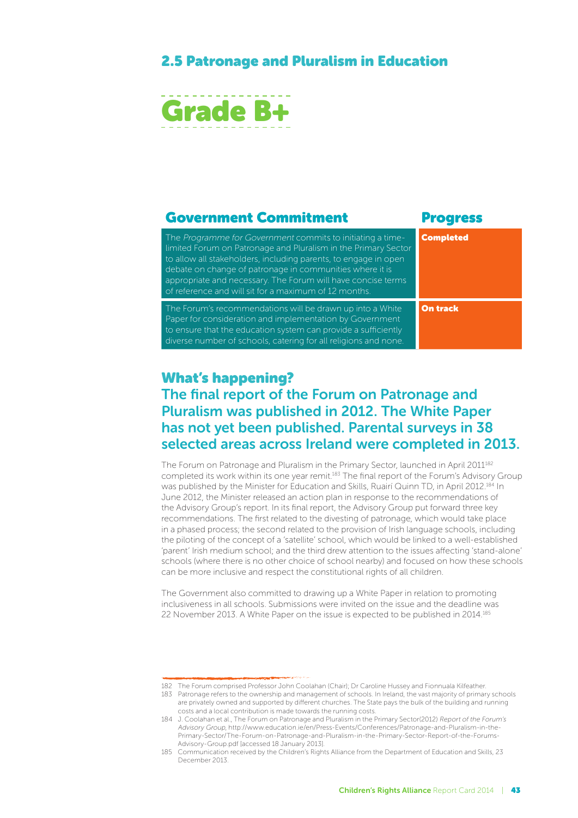## 2.5 Patronage and Pluralism in Education



#### Government Commitment Progress The Programme for Government commits to initiating a timelimited Forum on Patronage and Pluralism in the Primary Sector to allow all stakeholders, including parents, to engage in open debate on change of patronage in communities where it is appropriate and necessary. The Forum will have concise terms of reference and will sit for a maximum of 12 months. Completed The Forum's recommendations will be drawn up into a White Paper for consideration and implementation by Government to ensure that the education system can provide a sufficiently diverse number of schools, catering for all religions and none. On track

#### What's happening?

## The final report of the Forum on Patronage and Pluralism was published in 2012. The White Paper has not yet been published. Parental surveys in 38 selected areas across Ireland were completed in 2013.

The Forum on Patronage and Pluralism in the Primary Sector, launched in April 2011<sup>182</sup> completed its work within its one year remit.183 The final report of the Forum's Advisory Group was published by the Minister for Education and Skills, Ruairí Quinn TD, in April 2012.184 In June 2012, the Minister released an action plan in response to the recommendations of the Advisory Group's report. In its final report, the Advisory Group put forward three key recommendations. The first related to the divesting of patronage, which would take place in a phased process; the second related to the provision of Irish language schools, including the piloting of the concept of a 'satellite' school, which would be linked to a well-established 'parent' Irish medium school; and the third drew attention to the issues affecting 'stand-alone' schools (where there is no other choice of school nearby) and focused on how these schools can be more inclusive and respect the constitutional rights of all children.

The Government also committed to drawing up a White Paper in relation to promoting inclusiveness in all schools. Submissions were invited on the issue and the deadline was 22 November 2013. A White Paper on the issue is expected to be published in 2014.185

<sup>182</sup> The Forum comprised Professor John Coolahan (Chair); Dr Caroline Hussey and Fionnuala Kilfeather.

<sup>183</sup> Patronage refers to the ownership and management of schools. In Ireland, the vast majority of primary schools are privately owned and supported by different churches. The State pays the bulk of the building and running costs and a local contribution is made towards the running costs.

<sup>184</sup> J. Coolahan et al., The Forum on Patronage and Pluralism in the Primary Sector(2012) Report of the Forum's Advisory Group, http://www.education.ie/en/Press-Events/Conferences/Patronage-and-Pluralism-in-the-Primary-Sector/The-Forum-on-Patronage-and-Pluralism-in-the-Primary-Sector-Report-of-the-Forums-Advisory-Group.pdf [accessed 18 January 2013].

<sup>185</sup> Communication received by the Children's Rights Alliance from the Department of Education and Skills, 23 December 2013.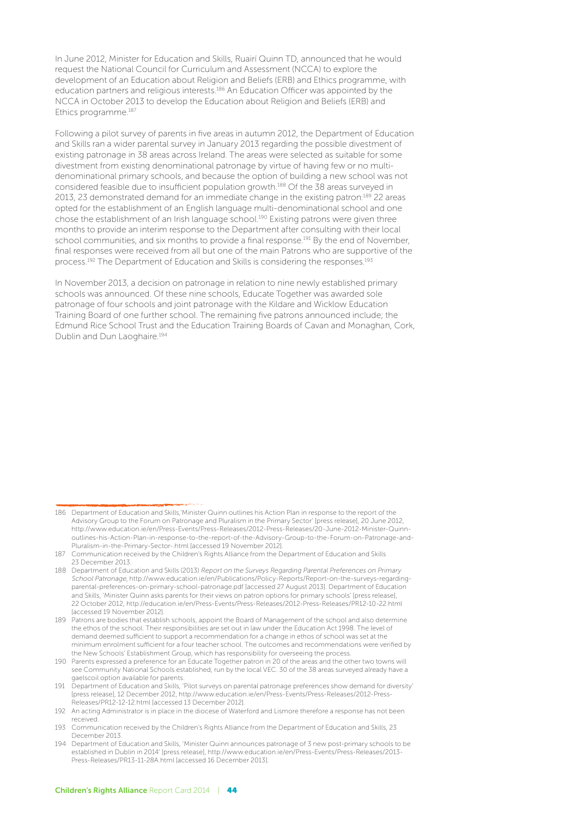In June 2012, Minister for Education and Skills, Ruairí Quinn TD, announced that he would request the National Council for Curriculum and Assessment (NCCA) to explore the development of an Education about Religion and Beliefs (ERB) and Ethics programme, with education partners and religious interests.186 An Education Officer was appointed by the NCCA in October 2013 to develop the Education about Religion and Beliefs (ERB) and Ethics programme.187

Following a pilot survey of parents in five areas in autumn 2012, the Department of Education and Skills ran a wider parental survey in January 2013 regarding the possible divestment of existing patronage in 38 areas across Ireland. The areas were selected as suitable for some divestment from existing denominational patronage by virtue of having few or no multidenominational primary schools, and because the option of building a new school was not considered feasible due to insufficient population growth.188 Of the 38 areas surveyed in 2013, 23 demonstrated demand for an immediate change in the existing patron:189 22 areas opted for the establishment of an English language multi-denominational school and one chose the establishment of an Irish language school.190 Existing patrons were given three months to provide an interim response to the Department after consulting with their local school communities, and six months to provide a final response.191 By the end of November, final responses were received from all but one of the main Patrons who are supportive of the process.192 The Department of Education and Skills is considering the responses.193

In November 2013, a decision on patronage in relation to nine newly established primary schools was announced. Of these nine schools, Educate Together was awarded sole patronage of four schools and joint patronage with the Kildare and Wicklow Education Training Board of one further school. The remaining five patrons announced include; the Edmund Rice School Trust and the Education Training Boards of Cavan and Monaghan, Cork, Dublin and Dun Laoghaire.194

<sup>186</sup> Department of Education and Skills,'Minister Quinn outlines his Action Plan in response to the report of the Advisory Group to the Forum on Patronage and Pluralism in the Primary Sector' [press release], 20 June 2012, http://www.education.ie/en/Press-Events/Press-Releases/2012-Press-Releases/20-June-2012-Minister-Quinnoutlines-his-Action-Plan-in-response-to-the-report-of-the-Advisory-Group-to-the-Forum-on-Patronage-and-Pluralism-in-the-Primary-Sector-.html [accessed 19 November 2012].

<sup>187</sup> Communication received by the Children's Rights Alliance from the Department of Education and Skills 23 December 2013.

<sup>188</sup> Department of Education and Skills (2013) Report on the Surveys Regarding Parental Preferences on Primary School Patronage, http://www.education.ie/en/Publications/Policy-Reports/Report-on-the-surveys-regardingparental-preferences-on-primary-school-patronage.pdf [accessed 27 August 2013]. Department of Education and Skills, 'Minister Quinn asks parents for their views on patron options for primary schools' [press release], 22 October 2012, http://education.ie/en/Press-Events/Press-Releases/2012-Press-Releases/PR12-10-22.html [accessed 19 November 2012].

<sup>189</sup> Patrons are bodies that establish schools, appoint the Board of Management of the school and also determine the ethos of the school. Their responsibilities are set out in law under the Education Act 1998. The level of demand deemed sufficient to support a recommendation for a change in ethos of school was set at the minimum enrolment sufficient for a four teacher school. The outcomes and recommendations were verified by the New Schools' Establishment Group, which has responsibility for overseeing the process.

<sup>190</sup> Parents expressed a preference for an Educate Together patron in 20 of the areas and the other two towns will see Community National Schools established, run by the local VEC. 30 of the 38 areas surveyed already have a gaelscoil option available for parents.

<sup>191</sup> Department of Education and Skills, 'Pilot surveys on parental patronage preferences show demand for diversity' [press release], 12 December 2012, http://www.education.ie/en/Press-Events/Press-Releases/2012-Press-Releases/PR12-12-12.html [accessed 13 December 2012].

<sup>192</sup> An acting Administrator is in place in the diocese of Waterford and Lismore therefore a response has not been received.

<sup>193</sup> Communication received by the Children's Rights Alliance from the Department of Education and Skills, 23 December 2013.

<sup>194</sup> Department of Education and Skills, 'Minister Quinn announces patronage of 3 new post-primary schools to be established in Dublin in 2014' [press release], http://www.education.ie/en/Press-Events/Press-Releases/2013- Press-Releases/PR13-11-28A.html [accessed 16 December 2013].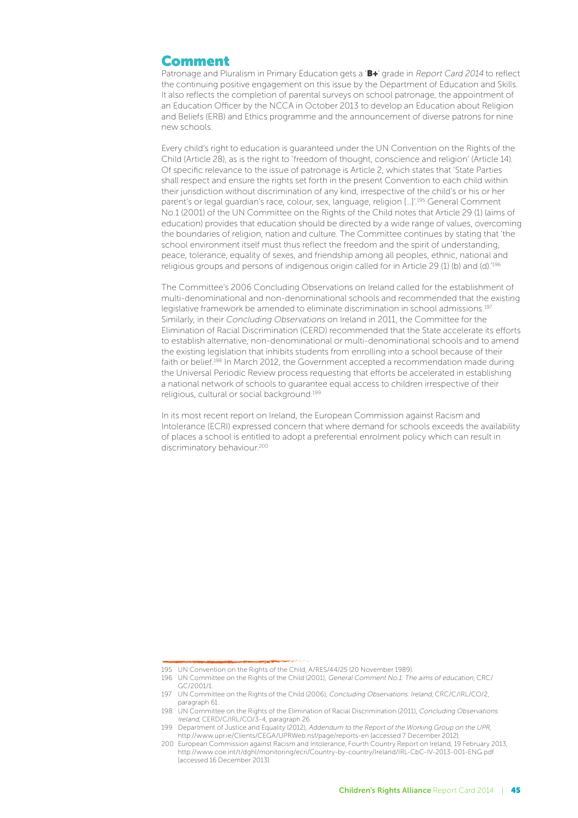#### Comment

Patronage and Pluralism in Primary Education gets a 'B+' grade in Report Card 2014 to reflect the continuing positive engagement on this issue by the Department of Education and Skills. It also reflects the completion of parental surveys on school patronage, the appointment of an Education Officer by the NCCA in October 2013 to develop an Education about Religion and Beliefs (ERB) and Ethics programme and the announcement of diverse patrons for nine new schools.

Every child's right to education is guaranteed under the UN Convention on the Rights of the Child (Article 28), as is the right to 'freedom of thought, conscience and religion' (Article 14). Of specific relevance to the issue of patronage is Article 2, which states that 'State Parties shall respect and ensure the rights set forth in the present Convention to each child within their jurisdiction without discrimination of any kind, irrespective of the child's or his or her parent's or legal guardian's race, colour, sex, language, religion […]'.195 General Comment No.1 (2001) of the UN Committee on the Rights of the Child notes that Article 29 (1) (aims of education) provides that education should be directed by a wide range of values, overcoming the boundaries of religion, nation and culture. The Committee continues by stating that 'the school environment itself must thus reflect the freedom and the spirit of understanding, peace, tolerance, equality of sexes, and friendship among all peoples, ethnic, national and religious groups and persons of indigenous origin called for in Article 29 (1) (b) and (d).'196

The Committee's 2006 Concluding Observations on Ireland called for the establishment of multi-denominational and non-denominational schools and recommended that the existing legislative framework be amended to eliminate discrimination in school admissions.197 Similarly, in their Concluding Observations on Ireland in 2011, the Committee for the Elimination of Racial Discrimination (CERD) recommended that the State accelerate its efforts to establish alternative, non-denominational or multi-denominational schools and to amend the existing legislation that inhibits students from enrolling into a school because of their faith or belief.198 In March 2012, the Government accepted a recommendation made during the Universal Periodic Review process requesting that efforts be accelerated in establishing a national network of schools to guarantee equal access to children irrespective of their religious, cultural or social background.199

In its most recent report on Ireland, the European Commission against Racism and Intolerance (ECRI) expressed concern that where demand for schools exceeds the availability of places a school is entitled to adopt a preferential enrolment policy which can result in discriminatory behaviour.<sup>200</sup>

<sup>195</sup> UN Convention on the Rights of the Child, A/RES/44/25 (20 November 1989).

<sup>196</sup> UN Committee on the Rights of the Child (2001), General Comment No.1: The aims of education, CRC/ GC/2001/1.

<sup>197</sup> UN Committee on the Rights of the Child (2006), Concluding Observations: Ireland, CRC/C/IRL/CO/2, paragraph 61.

<sup>198</sup> UN Committee on the Rights of the Elimination of Racial Discrimination (2011), Concluding Observations: Ireland, CERD/C/IRL/CO/3-4, paragraph 26.

<sup>199</sup> Department of Justice and Equality (2012), Addendum to the Report of the Working Group on the UPR, http://www.upr.ie/Clients/CEGA/UPRWeb.nsf/page/reports-en [accessed 7 December 2012].

<sup>200</sup> European Commission against Racism and Intolerance, Fourth Country Report on Ireland, 19 February 2013, http://www.coe.int/t/dghl/monitoring/ecri/Country-by-country/Ireland/IRL-CbC-IV-2013-001-ENG.pdf [accessed 16 December 2013].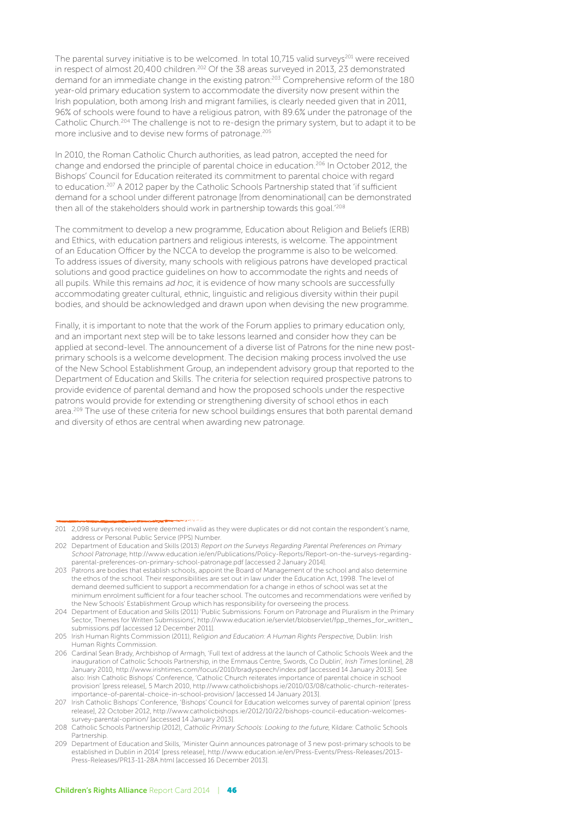The parental survey initiative is to be welcomed. In total 10,715 valid surveys<sup>201</sup> were received in respect of almost 20,400 children.202 Of the 38 areas surveyed in 2013, 23 demonstrated demand for an immediate change in the existing patron:203 Comprehensive reform of the 180 year-old primary education system to accommodate the diversity now present within the Irish population, both among Irish and migrant families, is clearly needed given that in 2011, 96% of schools were found to have a religious patron, with 89.6% under the patronage of the Catholic Church.204 The challenge is not to re-design the primary system, but to adapt it to be more inclusive and to devise new forms of patronage.205

In 2010, the Roman Catholic Church authorities, as lead patron, accepted the need for change and endorsed the principle of parental choice in education.206 In October 2012, the Bishops' Council for Education reiterated its commitment to parental choice with regard to education.<sup>207</sup> A 2012 paper by the Catholic Schools Partnership stated that 'if sufficient demand for a school under different patronage [from denominational] can be demonstrated then all of the stakeholders should work in partnership towards this goal.'208

The commitment to develop a new programme, Education about Religion and Beliefs (ERB) and Ethics, with education partners and religious interests, is welcome. The appointment of an Education Officer by the NCCA to develop the programme is also to be welcomed. To address issues of diversity, many schools with religious patrons have developed practical solutions and good practice guidelines on how to accommodate the rights and needs of all pupils. While this remains ad hoc, it is evidence of how many schools are successfully accommodating greater cultural, ethnic, linguistic and religious diversity within their pupil bodies, and should be acknowledged and drawn upon when devising the new programme.

Finally, it is important to note that the work of the Forum applies to primary education only, and an important next step will be to take lessons learned and consider how they can be applied at second-level. The announcement of a diverse list of Patrons for the nine new postprimary schools is a welcome development. The decision making process involved the use of the New School Establishment Group, an independent advisory group that reported to the Department of Education and Skills. The criteria for selection required prospective patrons to provide evidence of parental demand and how the proposed schools under the respective patrons would provide for extending or strengthening diversity of school ethos in each area.<sup>209</sup> The use of these criteria for new school buildings ensures that both parental demand and diversity of ethos are central when awarding new patronage.

<sup>201</sup> 2,098 surveys received were deemed invalid as they were duplicates or did not contain the respondent's name, address or Personal Public Service (PPS) Number.

<sup>202</sup> Department of Education and Skills (2013) Report on the Surveys Regarding Parental Preferences on Primary School Patronage, http://www.education.ie/en/Publications/Policy-Reports/Report-on-the-surveys-regardingparental-preferences-on-primary-school-patronage.pdf [accessed 2 January 2014].

<sup>203</sup> Patrons are bodies that establish schools, appoint the Board of Management of the school and also determine the ethos of the school. Their responsibilities are set out in law under the Education Act, 1998. The level of demand deemed sufficient to support a recommendation for a change in ethos of school was set at the minimum enrolment sufficient for a four teacher school. The outcomes and recommendations were verified by the New Schools' Establishment Group which has responsibility for overseeing the process.

<sup>204</sup> Department of Education and Skills (2011) 'Public Submissions: Forum on Patronage and Pluralism in the Primary Sector, Themes for Written Submissions', http://www.education.ie/servlet/blobservlet/fpp\_themes\_for\_written\_ submissions.pdf [accessed 12 December 2011].

<sup>205</sup> Irish Human Rights Commission (2011), Religion and Education: A Human Rights Perspective, Dublin: Irish Human Rights Commission.

<sup>206</sup> Cardinal Sean Brady, Archbishop of Armagh, 'Full text of address at the launch of Catholic Schools Week and the inauguration of Catholic Schools Partnership, in the Emmaus Centre, Swords, Co Dublin', Irish Times [online], 28 January 2010, http://www.irishtimes.com/focus/2010/bradyspeech/index.pdf [accessed 14 January 2013]. See also: Irish Catholic Bishops' Conference, 'Catholic Church reiterates importance of parental choice in school provision' [press release], 5 March 2010, http://www.catholicbishops.ie/2010/03/08/catholic-church-reiteratesimportance-of-parental-choice-in-school-provision/ [accessed 14 January 2013].

<sup>207</sup> Irish Catholic Bishops' Conference, 'Bishops' Council for Education welcomes survey of parental opinion' [press release], 22 October 2012, http://www.catholicbishops.ie/2012/10/22/bishops-council-education-welcomessurvey-parental-opinion/ [accessed 14 January 2013].

<sup>208</sup> Catholic Schools Partnership (2012), Catholic Primary Schools: Looking to the future, Kildare: Catholic Schools Partnership.

<sup>209</sup> Department of Education and Skills, 'Minister Quinn announces patronage of 3 new post-primary schools to be established in Dublin in 2014' [press release], http://www.education.ie/en/Press-Events/Press-Releases/2013- Press-Releases/PR13-11-28A.html [accessed 16 December 2013].